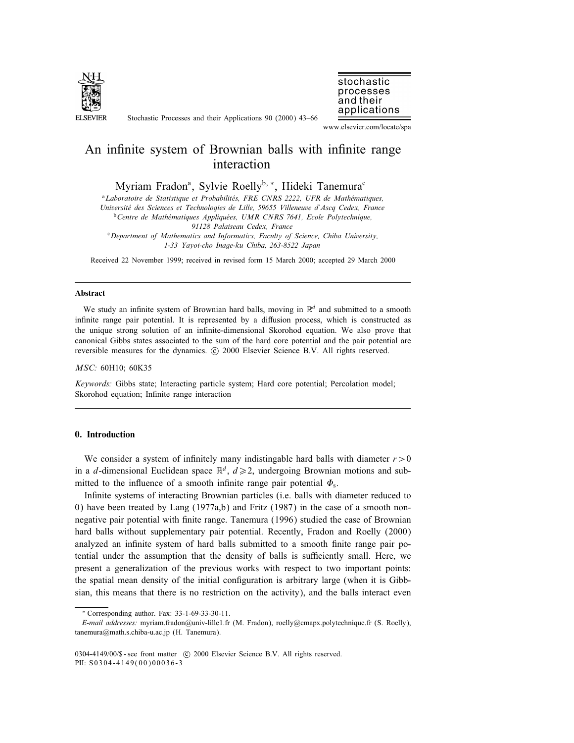

Stochastic Processes and their Applications 90 (2000) 43–66



www.elsevier.com/locate/spa

# An infinite system of Brownian balls with infinite range interaction

Myriam Fradon<sup>a</sup>, Sylvie Roelly<sup>b, \*</sup>, Hideki Tanemura<sup>c</sup>

<sup>a</sup>Laboratoire de Statistique et Probabilités, FRE CNRS 2222, UFR de Mathématiques, Universite des Sciences et Technologies de Lille, 59655 Villeneuve d'Ascq Cedex, France  $b$ Centre de Mathématiques Appliquées, UMR CNRS 7641, Ecole Polytechnique, 91128 Palaiseau Cedex, France <sup>c</sup>Department of Mathematics and Informatics, Faculty of Science, Chiba University,

1-33 Yayoi-cho Inage-ku Chiba, 263-8522 Japan

Received 22 November 1999; received in revised form 15 March 2000; accepted 29 March 2000

#### Abstract

We study an infinite system of Brownian hard balls, moving in  $\mathbb{R}^d$  and submitted to a smooth infinite range pair potential. It is represented by a diffusion process, which is constructed as the unique strong solution of an innite-dimensional Skorohod equation. We also prove that canonical Gibbs states associated to the sum of the hard core potential and the pair potential are reversible measures for the dynamics. © 2000 Elsevier Science B.V. All rights reserved.

MSC: 60H10; 60K35

Keywords: Gibbs state; Interacting particle system; Hard core potential; Percolation model; Skorohod equation; Infinite range interaction

# 0. Introduction

We consider a system of infinitely many indistingable hard balls with diameter  $r > 0$ in a d-dimensional Euclidean space  $\mathbb{R}^d$ ,  $d \ge 2$ , undergoing Brownian motions and submitted to the influence of a smooth infinite range pair potential  $\Phi_s$ .

Infinite systems of interacting Brownian particles (i.e. balls with diameter reduced to 0) have been treated by Lang  $(1977a,b)$  and Fritz  $(1987)$  in the case of a smooth nonnegative pair potential with finite range. Tanemura (1996) studied the case of Brownian hard balls without supplementary pair potential. Recently, Fradon and Roelly (2000) analyzed an infinite system of hard balls submitted to a smooth finite range pair potential under the assumption that the density of balls is sufficiently small. Here, we present a generalization of the previous works with respect to two important points: the spatial mean density of the initial conguration is arbitrary large (when it is Gibbsian, this means that there is no restriction on the activity), and the balls interact even

<sup>∗</sup> Corresponding author. Fax: 33-1-69-33-30-11.

E-mail addresses: myriam.fradon@univ-lille1.fr (M. Fradon), roelly@cmapx.polytechnique.fr (S. Roelly), tanemura@math.s.chiba-u.ac.jp (H. Tanemura).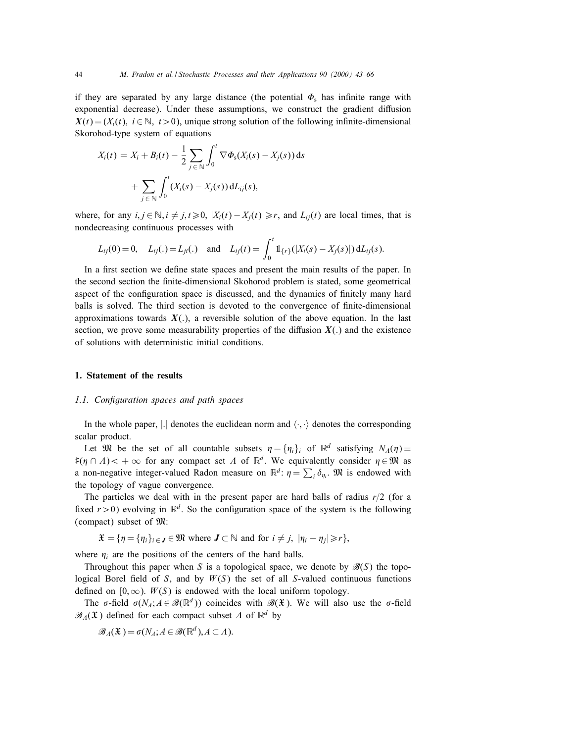if they are separated by any large distance (the potential  $\Phi_s$  has infinite range with exponential decrease). Under these assumptions, we construct the gradient diffusion  $X(t) = (X_i(t), i \in \mathbb{N}, t > 0)$ , unique strong solution of the following infinite-dimensional Skorohod-type system of equations

$$
X_i(t) = X_i + B_i(t) - \frac{1}{2} \sum_{j \in \mathbb{N}} \int_0^t \nabla \Phi_s(X_i(s) - X_j(s)) ds
$$
  
+ 
$$
\sum_{j \in \mathbb{N}} \int_0^t (X_i(s) - X_j(s)) dL_{ij}(s),
$$

where, for any  $i, j \in \mathbb{N}, i \neq j, t \geq 0, |X_i(t) - X_j(t)| \geq r$ , and  $L_{ij}(t)$  are local times, that is nondecreasing continuous processes with

$$
L_{ij}(0) = 0, \quad L_{ij}(.) = L_{ji}(.) \quad \text{and} \quad L_{ij}(t) = \int_0^t \mathbb{1}_{\{r\}}(|X_i(s) - X_j(s)|) \, \mathrm{d}L_{ij}(s).
$$

In a first section we define state spaces and present the main results of the paper. In the second section the finite-dimensional Skohorod problem is stated, some geometrical aspect of the configuration space is discussed, and the dynamics of finitely many hard balls is solved. The third section is devoted to the convergence of finite-dimensional approximations towards  $X(.)$ , a reversible solution of the above equation. In the last section, we prove some measurability properties of the diffusion  $X(.)$  and the existence of solutions with deterministic initial conditions.

# 1. Statement of the results

# 1.1. Configuration spaces and path spaces

In the whole paper, | denotes the euclidean norm and  $\langle \cdot, \cdot \rangle$  denotes the corresponding scalar product.

Let  $\mathfrak{M}$  be the set of all countable subsets  $\eta = \{\eta_i\}_i$  of  $\mathbb{R}^d$  satisfying  $N_A(\eta) \equiv$ # $(\eta \cap \Lambda)$  < + ∞ for any compact set  $\Lambda$  of  $\mathbb{R}^d$ . We equivalently consider  $\eta \in \mathfrak{M}$  as a non-negative integer-valued Radon measure on  $\mathbb{R}^d$ :  $\eta = \sum_i \delta_{\eta_i}$ .  $\mathfrak{M}$  is endowed with the topology of vague convergence.

The particles we deal with in the present paper are hard balls of radius  $r/2$  (for a fixed  $r > 0$ ) evolving in  $\mathbb{R}^d$ . So the configuration space of the system is the following (compact) subset of M:

$$
\mathfrak{X} = \{ \eta = \{ \eta_i \}_{i \in J} \in \mathfrak{M} \text{ where } J \subset \mathbb{N} \text{ and for } i \neq j, \ |\eta_i - \eta_j| \geq r \},
$$

where  $\eta_i$  are the positions of the centers of the hard balls.

Throughout this paper when S is a topological space, we denote by  $\mathcal{B}(S)$  the topological Borel field of S, and by  $W(S)$  the set of all S-valued continuous functions defined on  $[0, \infty)$ .  $W(S)$  is endowed with the local uniform topology.

The  $\sigma$ -field  $\sigma(N_A; A \in \mathcal{B}(\mathbb{R}^d))$  coincides with  $\mathcal{B}(\mathfrak{X})$ . We will also use the  $\sigma$ -field  $\mathscr{B}_{\Lambda}(\mathfrak{X})$  defined for each compact subset A of  $\mathbb{R}^d$  by

$$
\mathscr{B}_\Lambda(\mathfrak{X}) = \sigma(N_A; A \in \mathscr{B}(\mathbb{R}^d), A \subset \Lambda).
$$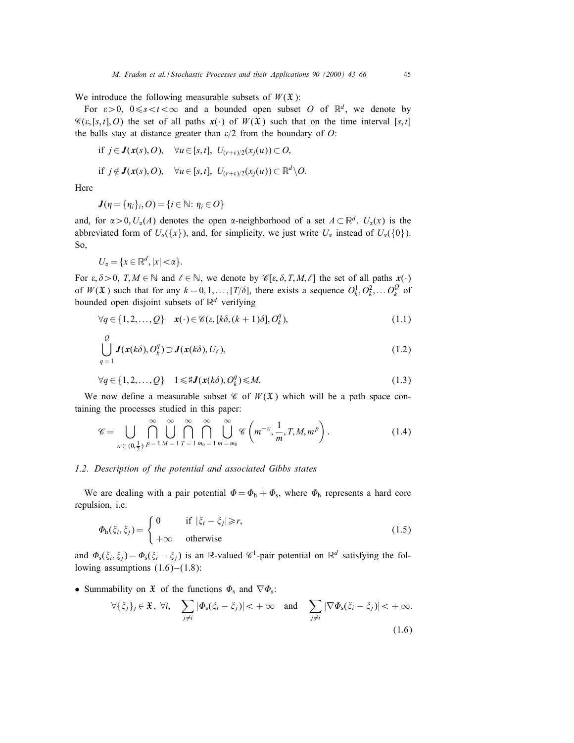We introduce the following measurable subsets of  $W(\mathfrak{X})$ :

For  $\varepsilon > 0$ ,  $0 \le s < t < \infty$  and a bounded open subset O of  $\mathbb{R}^d$ , we denote by  $\mathscr{C}(\varepsilon, [s,t], O)$  the set of all paths  $x(\cdot)$  of  $W(\mathfrak{X})$  such that on the time interval  $[s,t]$ the balls stay at distance greater than  $\varepsilon/2$  from the boundary of O:

if 
$$
j \in J(x(s), O)
$$
,  $\forall u \in [s, t]$ ,  $U_{(r+\varepsilon)/2}(x_j(u)) \subset O$ ,  
if  $j \notin J(x(s), O)$ ,  $\forall u \in [s, t]$ ,  $U_{(r+\varepsilon)/2}(x_j(u)) \subset \mathbb{R}^d \setminus O$ .

Here

$$
\boldsymbol{J}(\eta = \{\eta_i\}_i, O) = \{i \in \mathbb{N} : \eta_i \in O\}
$$

and, for  $\alpha > 0$ ,  $U_{\alpha}(A)$  denotes the open  $\alpha$ -neighborhood of a set  $A \subset \mathbb{R}^d$ .  $U_{\alpha}(x)$  is the abbreviated form of  $U_{\alpha}(\{x\})$ , and, for simplicity, we just write  $U_{\alpha}$  instead of  $U_{\alpha}(\{0\})$ . So,

 $U_{\alpha} = \{x \in \mathbb{R}^d, |x| < \alpha\}.$ 

For  $\varepsilon, \delta > 0$ ,  $T, M \in \mathbb{N}$  and  $\ell \in \mathbb{N}$ , we denote by  $\mathscr{C}[\varepsilon, \delta, T, M, \ell]$  the set of all paths  $\mathbf{x}(\cdot)$ of  $W(\mathfrak{X})$  such that for any  $k = 0, 1, \ldots, [T/\delta]$ , there exists a sequence  $O_k^1, O_k^2, \ldots, O_k^Q$  of bounded open disjoint subsets of  $\mathbb{R}^d$  verifying

$$
\forall q \in \{1, 2, \dots, Q\} \quad \mathbf{x}(\cdot) \in \mathscr{C}(\varepsilon, [k\delta, (k+1)\delta], O_k^q),\tag{1.1}
$$

$$
\bigcup_{q=1}^{Q} J(x(k\delta), O_k^q) \supset J(x(k\delta), U_\ell), \qquad (1.2)
$$

$$
\forall q \in \{1, 2, \dots, Q\} \quad 1 \leq \sharp J(\mathbf{x}(k\delta), O_k^q) \leq M. \tag{1.3}
$$

We now define a measurable subset  $\mathscr C$  of  $W(\mathfrak X)$  which will be a path space containing the processes studied in this paper:

$$
\mathscr{C} = \bigcup_{\kappa \in (0,\frac{1}{2})} \bigcap_{p=1}^{\infty} \bigcup_{M=1}^{\infty} \bigcap_{T=1}^{\infty} \bigcap_{m_0=1}^{\infty} \bigcup_{m=m_0}^{\infty} \mathscr{C}\left(m^{-\kappa},\frac{1}{m},T,M,m^p\right).
$$
(1.4)

# 1.2. Description of the potential and associated Gibbs states

We are dealing with a pair potential  $\Phi = \Phi_h + \Phi_s$ , where  $\Phi_h$  represents a hard core repulsion, i.e.

$$
\Phi_{h}(\xi_{i}, \xi_{j}) = \begin{cases}\n0 & \text{if } |\xi_{i} - \xi_{j}| \geq r, \\
+\infty & \text{otherwise}\n\end{cases}
$$
\n(1.5)

and  $\Phi_s(\xi_i, \xi_j) = \Phi_s(\xi_i - \xi_j)$  is an R-valued  $\mathscr{C}^1$ -pair potential on  $\mathbb{R}^d$  satisfying the following assumptions  $(1.6)$  –  $(1.8)$ :

• Summability on  $\mathfrak{X}$  of the functions  $\Phi_s$  and  $\nabla \Phi_s$ :

$$
\forall \{\xi_j\}_j \in \mathfrak{X}, \ \forall i, \quad \sum_{j \neq i} |\Phi_{\mathsf{s}}(\xi_i - \xi_j)| < +\infty \quad \text{and} \quad \sum_{j \neq i} |\nabla \Phi_{\mathsf{s}}(\xi_i - \xi_j)| < +\infty. \tag{1.6}
$$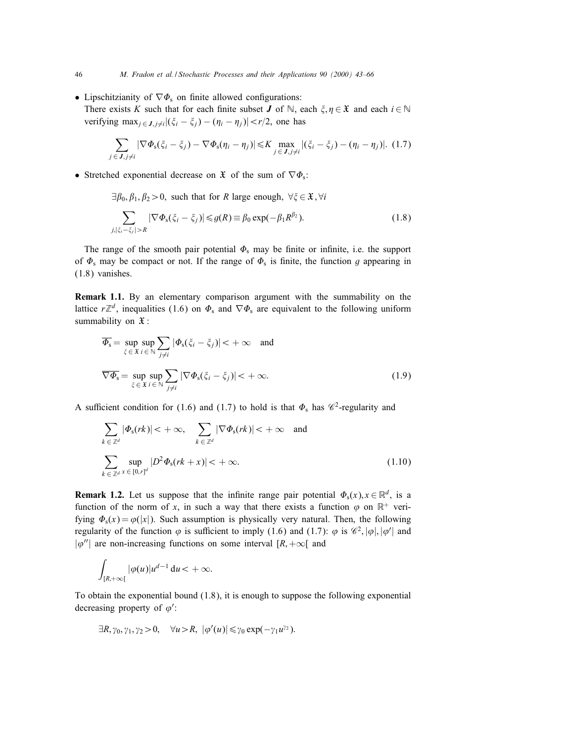- Lipschitzianity of  $\nabla \Phi_s$  on finite allowed configurations:
	- There exists K such that for each finite subset **J** of  $\mathbb{N}$ , each  $\xi, \eta \in \mathfrak{X}$  and each  $i \in \mathbb{N}$ verifying max $_{i \in J}$   $_{i \neq i}$   $|(\xi_i - \xi_j) - (\eta_i - \eta_j)| < r/2$ , one has

$$
\sum_{j\in\mathbf{J},j\neq i}|\nabla\Phi_{\mathbf{s}}(\xi_i-\xi_j)-\nabla\Phi_{\mathbf{s}}(\eta_i-\eta_j)|\leq K \max_{j\in\mathbf{J},j\neq i}|(\xi_i-\xi_j)-(\eta_i-\eta_j)|. (1.7)
$$

• Stretched exponential decrease on  $\mathfrak X$  of the sum of  $\nabla \Phi_s$ :

 $\exists \beta_0, \beta_1, \beta_2 > 0$ , such that for R large enough,  $\forall \xi \in \mathfrak{X}, \forall i$ 

$$
\sum_{j,|\xi_i-\xi_j|>R} |\nabla \Phi_{\mathbf{s}}(\xi_i-\xi_j)| \leq g(R) \equiv \beta_0 \exp(-\beta_1 R^{\beta_2}). \tag{1.8}
$$

The range of the smooth pair potential  $\Phi_s$  may be finite or infinite, i.e. the support of  $\Phi_s$  may be compact or not. If the range of  $\Phi_s$  is finite, the function g appearing in (1.8) vanishes.

Remark 1.1. By an elementary comparison argument with the summability on the lattice  $r\mathbb{Z}^d$ , inequalities (1.6) on  $\Phi_s$  and  $\nabla \Phi_s$  are equivalent to the following uniform summability on  $\mathfrak{X}$ :

$$
\overline{\Phi}_{s} = \sup_{\xi \in \mathfrak{X}} \sup_{i \in \mathbb{N}} \sum_{j \neq i} |\Phi_{s}(\xi_{i} - \xi_{j})| < +\infty \quad \text{and}
$$
  

$$
\nabla \Phi_{s} = \sup_{\xi \in \mathfrak{X}} \sup_{i \in \mathbb{N}} \sum_{j \neq i} |\nabla \Phi_{s}(\xi_{i} - \xi_{j})| < +\infty.
$$
 (1.9)

A sufficient condition for (1.6) and (1.7) to hold is that  $\Phi_s$  has  $\mathscr{C}^2$ -regularity and

$$
\sum_{k \in \mathbb{Z}^d} |\Phi_s(rk)| < +\infty, \quad \sum_{k \in \mathbb{Z}^d} |\nabla \Phi_s(rk)| < +\infty \quad \text{and}
$$
\n
$$
\sum_{k \in \mathbb{Z}^d} \sup_{x \in [0,r]^d} |D^2 \Phi_s(rk + x)| < +\infty.
$$
\n(1.10)

**Remark 1.2.** Let us suppose that the infinite range pair potential  $\Phi_s(x), x \in \mathbb{R}^d$ , is a function of the norm of x, in such a way that there exists a function  $\varphi$  on  $\mathbb{R}^+$  verifying  $\Phi_s(x) = \varphi(|x|)$ . Such assumption is physically very natural. Then, the following regularity of the function  $\varphi$  is sufficient to imply (1.6) and (1.7):  $\varphi$  is  $\mathscr{C}^2$ ,  $|\varphi|, |\varphi'|$  and  $|\varphi''|$  are non-increasing functions on some interval  $[R, +\infty[$  and

$$
\int_{[R,+\infty[}|\varphi(u)|u^{d-1}\,du<+\infty.
$$

To obtain the exponential bound (1.8), it is enough to suppose the following exponential decreasing property of  $\varphi'$ :

$$
\exists R, \gamma_0, \gamma_1, \gamma_2 > 0, \quad \forall u > R, \ |\varphi'(u)| \leq \gamma_0 \exp(-\gamma_1 u^{\gamma_2}).
$$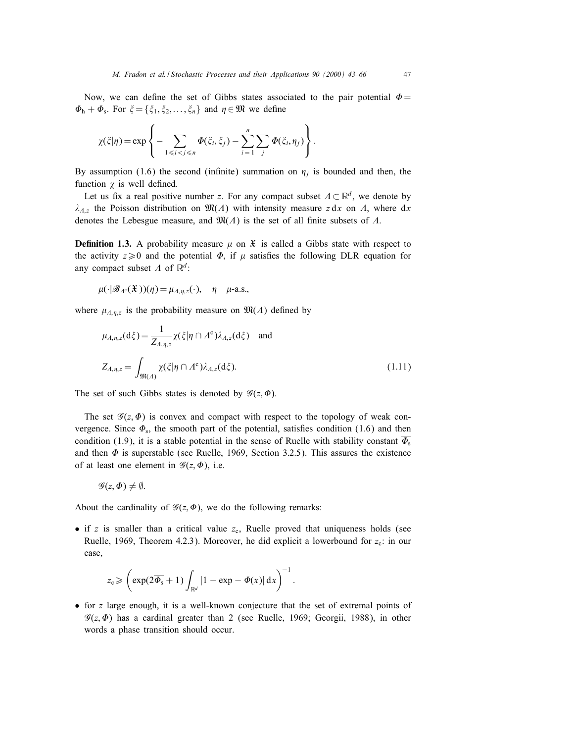Now, we can define the set of Gibbs states associated to the pair potential  $\Phi =$  $\Phi_{h} + \Phi_{s}$ . For  $\xi = {\xi_1, \xi_2, \ldots, \xi_n}$  and  $\eta \in \mathfrak{M}$  we define

$$
\chi(\xi|\eta) = \exp\left\{-\sum_{1 \leq i < j \leq n} \Phi(\xi_i, \xi_j) - \sum_{i=1}^n \sum_j \Phi(\xi_i, \eta_j)\right\}.
$$

By assumption (1.6) the second (infinite) summation on  $\eta_i$  is bounded and then, the function  $\chi$  is well defined.

Let us fix a real positive number z. For any compact subset  $\Lambda \subset \mathbb{R}^d$ , we denote by  $\lambda_{A,z}$  the Poisson distribution on  $\mathfrak{M}(A)$  with intensity measure z dx on A, where dx denotes the Lebesgue measure, and  $\mathfrak{M}(A)$  is the set of all finite subsets of  $A$ .

**Definition 1.3.** A probability measure  $\mu$  on  $\mathfrak{X}$  is called a Gibbs state with respect to the activity  $z \ge 0$  and the potential  $\Phi$ , if  $\mu$  satisfies the following DLR equation for any compact subset  $\Lambda$  of  $\mathbb{R}^d$ :

$$
\mu(\cdot | \mathscr{B}_{\Lambda^c}(\mathfrak{X}))(\eta) = \mu_{\Lambda, \eta, z}(\cdot), \quad \eta \quad \mu\text{-a.s.},
$$

where  $\mu_{A,\eta,z}$  is the probability measure on  $\mathfrak{M}(A)$  defined by

$$
\mu_{A,\eta,z}(d\xi) = \frac{1}{Z_{A,\eta,z}} \chi(\xi|\eta \cap A^c) \lambda_{A,z}(d\xi) \text{ and}
$$
  

$$
Z_{A,\eta,z} = \int_{\mathfrak{M}(A)} \chi(\xi|\eta \cap A^c) \lambda_{A,z}(d\xi).
$$
 (1.11)

The set of such Gibbs states is denoted by  $\mathscr{G}(z, \Phi)$ .

The set  $\mathscr{G}(z, \Phi)$  is convex and compact with respect to the topology of weak convergence. Since  $\Phi_s$ , the smooth part of the potential, satisfies condition (1.6) and then condition (1.9), it is a stable potential in the sense of Ruelle with stability constant  $\Phi_s$ and then  $\Phi$  is superstable (see Ruelle, 1969, Section 3.2.5). This assures the existence of at least one element in  $\mathscr{G}(z, \Phi)$ , i.e.

$$
\mathscr{G}(z,\Phi)\neq\emptyset.
$$

About the cardinality of  $\mathcal{G}(z, \Phi)$ , we do the following remarks:

• if  $z$  is smaller than a critical value  $z_c$ , Ruelle proved that uniqueness holds (see Ruelle, 1969, Theorem 4.2.3). Moreover, he did explicit a lowerbound for  $z_c$ : in our case,

$$
z_{\mathrm{c}} \geqslant \left(\exp(2\overline{\Phi_{\mathrm{s}}}+1)\int_{\mathbb{R}^d} |1-\exp-\varPhi(x)|\,\mathrm{d} x\right)^{-1}.
$$

• for z large enough, it is a well-known conjecture that the set of extremal points of  $\mathscr{G}(z, \Phi)$  has a cardinal greater than 2 (see Ruelle, 1969; Georgii, 1988), in other words a phase transition should occur.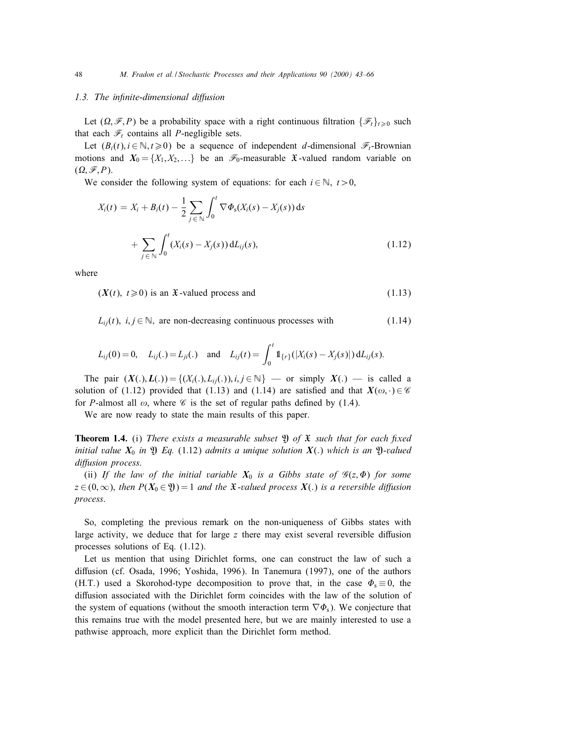#### 1.3. The infinite-dimensional diffusion

Let  $(\Omega, \mathscr{F}, P)$  be a probability space with a right continuous filtration  $\{\mathscr{F}_t\}_{t>0}$  such that each  $\mathcal{F}_t$  contains all *P*-negligible sets.

Let  $(B_i(t), i \in \mathbb{N}, t \ge 0)$  be a sequence of independent *d*-dimensional  $\mathcal{F}_t$ -Brownian motions and  $X_0 = \{X_1, X_2,...\}$  be an  $\mathcal{F}_0$ -measurable X-valued random variable on  $(\Omega, \mathscr{F}, P)$ .

We consider the following system of equations: for each  $i \in \mathbb{N}$ ,  $t > 0$ ,

$$
X_i(t) = X_i + B_i(t) - \frac{1}{2} \sum_{j \in \mathbb{N}} \int_0^t \nabla \Phi_s(X_i(s) - X_j(s)) ds
$$
  
+ 
$$
\sum_{j \in \mathbb{N}} \int_0^t (X_i(s) - X_j(s)) dL_{ij}(s),
$$
 (1.12)

where

 $(X(t), t \ge 0)$  is an X-valued process and (1.13)

 $L_{ii}(t)$ ,  $i, j \in \mathbb{N}$ , are non-decreasing continuous processes with (1.14)

$$
L_{ij}(0) = 0, \quad L_{ij}(.) = L_{ji}(.) \quad \text{and} \quad L_{ij}(t) = \int_0^t \mathbb{1}_{\{r\}}(|X_i(s) - X_j(s)|) \, \mathrm{d}L_{ij}(s).
$$

The pair  $(X(.)$ ,  $L(.)$ ) = { $(X_i(.)$ ,  $L_i(.)$ ,  $i,j \in \mathbb{N}$ } — or simply  $X(.)$  — is called a solution of (1.12) provided that (1.13) and (1.14) are satisfied and that  $X(\omega, \cdot) \in \mathscr{C}$ for P-almost all  $\omega$ , where  $\mathscr C$  is the set of regular paths defined by (1.4).

We are now ready to state the main results of this paper.

**Theorem 1.4.** (i) There exists a measurable subset  $\mathfrak{Y}$  of  $\mathfrak{X}$  such that for each fixed initial value  $X_0$  in  $\mathfrak{Y}$  Eq. (1.12) admits a unique solution  $X(.)$  which is an  $\mathfrak{Y}$ -valued diffusion process.

(ii) If the law of the initial variable  $X_0$  is a Gibbs state of  $\mathscr{G}(z, \Phi)$  for some  $z \in (0,\infty)$ , then  $P(X_0 \in \mathfrak{Y})=1$  and the X-valued process  $X(.)$  is a reversible diffusion process.

So, completing the previous remark on the non-uniqueness of Gibbs states with large activity, we deduce that for large  $z$  there may exist several reversible diffusion processes solutions of Eq. (1.12).

Let us mention that using Dirichlet forms, one can construct the law of such a diffusion (cf. Osada, 1996; Yoshida, 1996). In Tanemura (1997), one of the authors (H.T.) used a Skorohod-type decomposition to prove that, in the case  $\Phi_s \equiv 0$ , the diffusion associated with the Dirichlet form coincides with the law of the solution of the system of equations (without the smooth interaction term  $\nabla \Phi_s$ ). We conjecture that this remains true with the model presented here, but we are mainly interested to use a pathwise approach, more explicit than the Dirichlet form method.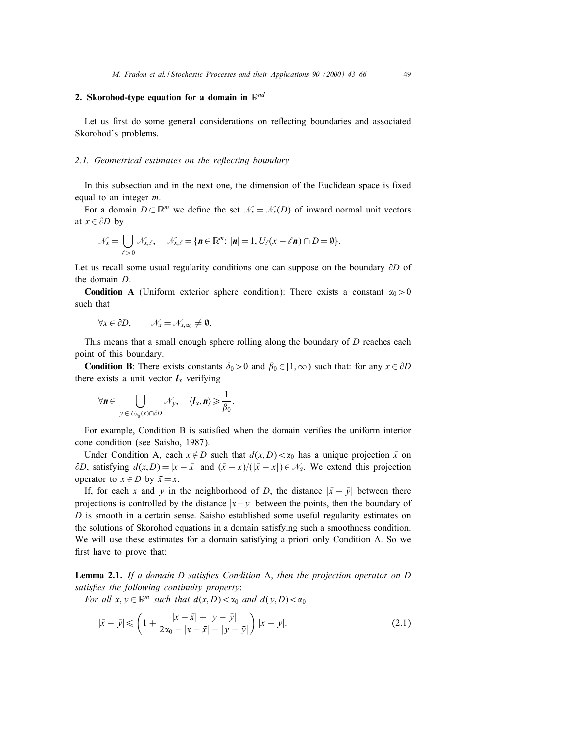# 2. Skorohod-type equation for a domain in  $\mathbb{R}^{nd}$

Let us first do some general considerations on reflecting boundaries and associated Skorohod's problems.

#### 2.1. Geometrical estimates on the reflecting boundary

In this subsection and in the next one, the dimension of the Euclidean space is fixed equal to an integer *m*.

For a domain  $D \subset \mathbb{R}^m$  we define the set  $\mathcal{N}_x = \mathcal{N}_x(D)$  of inward normal unit vectors at  $x \in \partial D$  by

$$
\mathcal{N}_x = \bigcup_{\ell > 0} \mathcal{N}_{x,\ell}, \quad \mathcal{N}_{x,\ell} = \{ \mathbf{n} \in \mathbb{R}^m : |\mathbf{n}| = 1, U_{\ell}(x - \ell \mathbf{n}) \cap D = \emptyset \}.
$$

Let us recall some usual regularity conditions one can suppose on the boundary  $\partial D$  of the domain D.

**Condition A** (Uniform exterior sphere condition): There exists a constant  $\alpha_0 > 0$ such that

$$
\forall x \in \partial D, \qquad \mathcal{N}_x = \mathcal{N}_{x, \alpha_0} \neq \emptyset.
$$

This means that a small enough sphere rolling along the boundary of D reaches each point of this boundary.

**Condition B**: There exists constants  $\delta_0 > 0$  and  $\beta_0 \in [1, \infty)$  such that: for any  $x \in \partial D$ there exists a unit vector  $l_x$  verifying

$$
\forall \mathbf{n} \in \bigcup_{y \in U_{\delta_0}(x) \cap \partial D} \mathcal{N}_y, \quad \langle \mathbf{I}_x, \mathbf{n} \rangle \geqslant \frac{1}{\beta_0}.
$$

For example, Condition B is satisfied when the domain verifies the uniform interior cone condition (see Saisho, 1987).

Under Condition A, each  $x \notin D$  such that  $d(x,D) < \alpha_0$  has a unique projection  $\bar{x}$  on  $\partial D$ , satisfying  $d(x,D) = |x - \bar{x}|$  and  $(\bar{x} - x)/(|\bar{x} - x|) \in \mathcal{N}_{\bar{x}}$ . We extend this projection operator to  $x \in D$  by  $\bar{x} = x$ .

If, for each x and y in the neighborhood of D, the distance  $|\bar{x} - \bar{y}|$  between there projections is controlled by the distance  $|x-y|$  between the points, then the boundary of  $D$  is smooth in a certain sense. Saisho established some useful regularity estimates on the solutions of Skorohod equations in a domain satisfying such a smoothness condition. We will use these estimates for a domain satisfying a priori only Condition A. So we first have to prove that:

Lemma 2.1. If a domain  $D$  satisfies Condition A, then the projection operator on  $D$ satisfies the following continuity property:

For all  $x, y \in \mathbb{R}^m$  such that  $d(x,D) < \alpha_0$  and  $d(y,D) < \alpha_0$ 

$$
|\bar{x} - \bar{y}| \leq \left(1 + \frac{|x - \bar{x}| + |y - \bar{y}|}{2\alpha_0 - |x - \bar{x}| - |y - \bar{y}|}\right) |x - y|.
$$
 (2.1)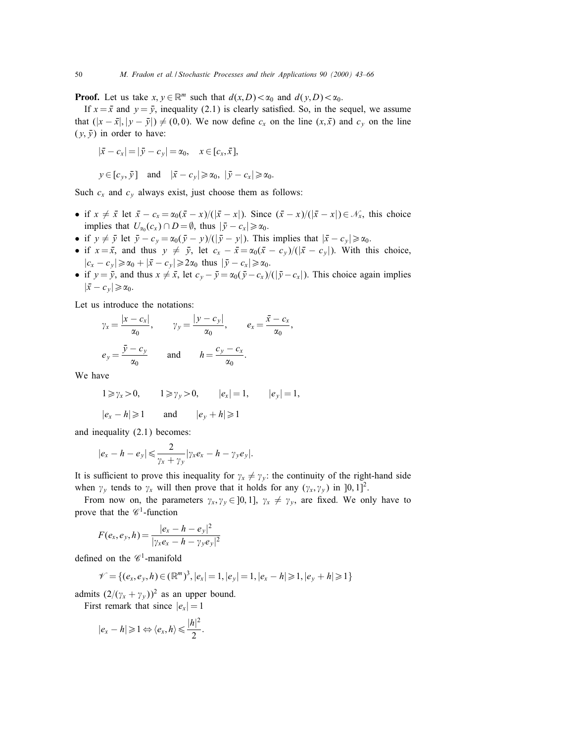**Proof.** Let us take  $x, y \in \mathbb{R}^m$  such that  $d(x, D) < \alpha_0$  and  $d(y, D) < \alpha_0$ .

If  $x = \bar{x}$  and  $y = \bar{y}$ , inequality (2.1) is clearly satisfied. So, in the sequel, we assume that  $(|x - \bar{x}|, |y - \bar{y}|) \neq (0, 0)$ . We now define  $c_x$  on the line  $(x, \bar{x})$  and  $c_y$  on the line  $(y, \bar{y})$  in order to have:

$$
|\bar{x} - c_x| = |\bar{y} - c_y| = \alpha_0, \quad x \in [c_x, \bar{x}],
$$
  

$$
y \in [c_y, \bar{y}] \quad \text{and} \quad |\bar{x} - c_y| \ge \alpha_0, \quad |\bar{y} - c_x| \ge \alpha_0.
$$

Such  $c_x$  and  $c_y$  always exist, just choose them as follows:

- if  $x \neq \overline{x}$  let  $\overline{x} c_x = \alpha_0(\overline{x} x)/(|\overline{x} x|)$ . Since  $(\overline{x} x)/(|\overline{x} x|) \in \mathcal{N}_x$ , this choice implies that  $U_{\alpha_0}(c_x) \cap D = \emptyset$ , thus  $|\bar{y} - c_x| \ge \alpha_0$ .
- if  $y \neq \bar{y}$  let  $\bar{y} c_y = \alpha_0(\bar{y} y)/(|\bar{y} y|)$ . This implies that  $|\bar{x} c_y| \ge \alpha_0$ .
- if  $x = \bar{x}$ , and thus  $y \neq \bar{y}$ , let  $c_x \bar{x} = \alpha_0(\bar{x} c_y)/(|\bar{x} c_y|)$ . With this choice,  $|c_x - c_y| \ge \alpha_0 + |\bar{x} - c_y| \ge 2\alpha_0$  thus  $|\bar{y} - c_x| \ge \alpha_0$ .
- if  $y = \bar{y}$ , and thus  $x \neq \bar{x}$ , let  $c_y \bar{y} = \alpha_0(\bar{y} c_x)/(|\bar{y} c_x|)$ . This choice again implies  $|\bar{x} - c_{y}| \geq \alpha_0$ .

Let us introduce the notations:

$$
\gamma_x = \frac{|x - c_x|}{\alpha_0},
$$
\n $\gamma_y = \frac{|y - c_y|}{\alpha_0},$ \n $e_x = \frac{\bar{x} - c_x}{\alpha_0},$ \n  
\n $e_y = \frac{\bar{y} - c_y}{\alpha_0}$  and  $h = \frac{c_y - c_x}{\alpha_0}.$ 

We have

$$
1 \ge \gamma_x > 0,
$$
  $1 \ge \gamma_y > 0,$   $|e_x| = 1,$   $|e_y| = 1,$   
 $|e_x - h| \ge 1$  and  $|e_y + h| \ge 1$ 

and inequality (2.1) becomes:

$$
|e_x-h-e_y|\leq \frac{2}{\gamma_x+\gamma_y}|\gamma_x e_x-h-\gamma_y e_y|.
$$

It is sufficient to prove this inequality for  $\gamma_x \neq \gamma_y$ : the continuity of the right-hand side when  $\gamma_y$  tends to  $\gamma_x$  will then prove that it holds for any  $(\gamma_x, \gamma_y)$  in  $[0, 1]^2$ .

From now on, the parameters  $\gamma_x, \gamma_y \in [0, 1]$ ,  $\gamma_x \neq \gamma_y$ , are fixed. We only have to prove that the  $\mathscr{C}^1$ -function

$$
F(e_x, e_y, h) = \frac{|e_x - h - e_y|^2}{|\gamma_x e_x - h - \gamma_y e_y|^2}
$$

defined on the  $\mathscr{C}^1$ -manifold

$$
\mathcal{V} = \{ (e_x, e_y, h) \in (\mathbb{R}^m)^3, |e_x| = 1, |e_y| = 1, |e_x - h| \geq 1, |e_y + h| \geq 1 \}
$$

admits  $(2/(\gamma_x + \gamma_y))^2$  as an upper bound.

First remark that since  $|e_x| = 1$ 

$$
|e_x - h| \geq 1 \Leftrightarrow \langle e_x, h \rangle \leq \frac{|h|^2}{2}.
$$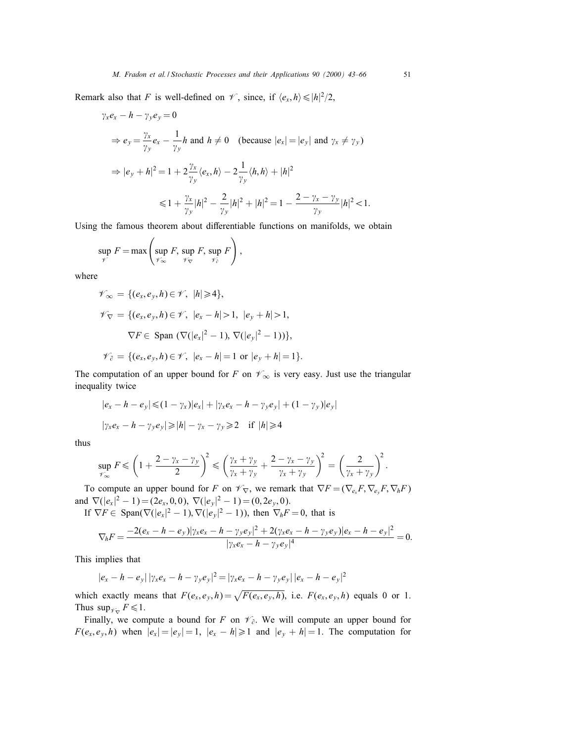Remark also that F is well-defined on  $\mathscr{V}$ , since, if  $\langle e_x, h \rangle \leq |h|^2/2$ ,

$$
\gamma_x e_x - h - \gamma_y e_y = 0
$$
  
\n
$$
\Rightarrow e_y = \frac{\gamma_x}{\gamma_y} e_x - \frac{1}{\gamma_y} h \text{ and } h \neq 0 \quad \text{(because } |e_x| = |e_y| \text{ and } \gamma_x \neq \gamma_y)
$$
  
\n
$$
\Rightarrow |e_y + h|^2 = 1 + 2 \frac{\gamma_x}{\gamma_y} \langle e_x, h \rangle - 2 \frac{1}{\gamma_y} \langle h, h \rangle + |h|^2
$$
  
\n
$$
\leq 1 + \frac{\gamma_x}{\gamma_y} |h|^2 - \frac{2}{\gamma_y} |h|^2 + |h|^2 = 1 - \frac{2 - \gamma_x - \gamma_y}{\gamma_y} |h|^2 < 1.
$$

Using the famous theorem about differentiable functions on manifolds, we obtain

$$
\sup_{\mathscr{V}} F = \max \left( \sup_{\mathscr{V}_{\infty}} F, \sup_{\mathscr{V}_{\nabla}} F, \sup_{\mathscr{V}_{\partial}} F \right),
$$

where

$$
\mathscr{V}_{\infty} = \{ (e_x, e_y, h) \in \mathscr{V}, |h| \geq 4 \},
$$
  

$$
\mathscr{V}_{\nabla} = \{ (e_x, e_y, h) \in \mathscr{V}, |e_x - h| > 1, |e_y + h| > 1,
$$
  

$$
\nabla F \in \text{Span } (\nabla (|e_x|^2 - 1), \nabla (|e_y|^2 - 1)) \},
$$
  

$$
\mathscr{V}_{\partial} = \{ (e_x, e_y, h) \in \mathscr{V}, |e_x - h| = 1 \text{ or } |e_y + h| = 1 \}.
$$

The computation of an upper bound for F on  $\mathscr{V}_{\infty}$  is very easy. Just use the triangular inequality twice

$$
|e_x - h - e_y| \leq (1 - \gamma_x)|e_x| + |\gamma_x e_x - h - \gamma_y e_y| + (1 - \gamma_y)|e_y|
$$
  

$$
|\gamma_x e_x - h - \gamma_y e_y| \geq |h| - \gamma_x - \gamma_y \geq 2 \quad \text{if } |h| \geq 4
$$

thus

$$
\sup_{\mathcal{V}_{\infty}} F \leqslant \left(1 + \frac{2 - \gamma_x - \gamma_y}{2}\right)^2 \leqslant \left(\frac{\gamma_x + \gamma_y}{\gamma_x + \gamma_y} + \frac{2 - \gamma_x - \gamma_y}{\gamma_x + \gamma_y}\right)^2 = \left(\frac{2}{\gamma_x + \gamma_y}\right)^2.
$$

To compute an upper bound for F on  $\mathscr{V}_{\nabla}$ , we remark that  $\nabla F = (\nabla_{e_x} F, \nabla_{e_y} F, \nabla_h F)$ and  $\nabla (|e_x|^2 - 1) = (2e_x, 0, 0), \nabla (|e_y|^2 - 1) = (0, 2e_y, 0).$ 

If  $\nabla F \in \text{Span}(\nabla(|e_x|^2 - 1), \nabla(|e_y|^2 - 1))$ , then  $\nabla_h F = 0$ , that is

$$
\nabla_h F = \frac{-2(e_x - h - e_y)|\gamma_x e_x - h - \gamma_y e_y|^2 + 2(\gamma_x e_x - h - \gamma_y e_y)|e_x - h - e_y|^2}{|\gamma_x e_x - h - \gamma_y e_y|^4} = 0.
$$

This implies that

$$
|e_x - h - e_y| |\gamma_x e_x - h - \gamma_y e_y|^2 = |\gamma_x e_x - h - \gamma_y e_y| |e_x - h - e_y|^2
$$

which exactly means that  $F(e_x, e_y, h) = \sqrt{F(e_x, e_y, h)}$ , i.e.  $F(e_x, e_y, h)$  equals 0 or 1. Thus  $\sup_{\mathscr{V}_{\square}} F \leq 1$ .

Finally, we compute a bound for F on  $\mathcal{V}_{\partial}$ . We will compute an upper bound for  $F(e_x, e_y, h)$  when  $|e_x| = |e_y| = 1$ ,  $|e_x - h| \ge 1$  and  $|e_y + h| = 1$ . The computation for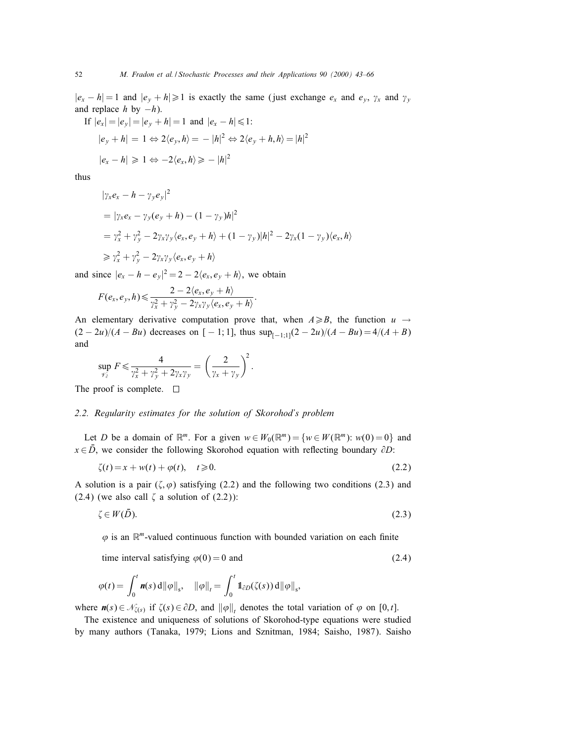$|e_x - h| = 1$  and  $|e_y + h| \ge 1$  is exactly the same (just exchange  $e_x$  and  $e_y$ ,  $\gamma_x$  and  $\gamma_y$ and replace h by  $-h$ ).

If 
$$
|e_x| = |e_y| = |e_y + h| = 1
$$
 and  $|e_x - h| \le 1$ :  
\n $|e_y + h| = 1 \Leftrightarrow 2\langle e_y, h \rangle = -|h|^2 \Leftrightarrow 2\langle e_y + h, h \rangle = |h|^2$   
\n $|e_x - h| \ge 1 \Leftrightarrow -2\langle e_x, h \rangle \ge -|h|^2$ 

thus

$$
|\gamma_x e_x - h - \gamma_y e_y|^2
$$
  
=  $|\gamma_x e_x - \gamma_y (e_y + h) - (1 - \gamma_y) h|^2$   
=  $\gamma_x^2 + \gamma_y^2 - 2\gamma_x \gamma_y \langle e_x, e_y + h \rangle + (1 - \gamma_y) |h|^2 - 2\gamma_x (1 - \gamma_y) \langle e_x, h \rangle$   
 $\ge \gamma_x^2 + \gamma_y^2 - 2\gamma_x \gamma_y \langle e_x, e_y + h \rangle$ 

and since  $|e_x - h - e_y|^2 = 2 - 2\langle e_x, e_y + h \rangle$ , we obtain

$$
F(e_x, e_y, h) \leq \frac{2 - 2\langle e_x, e_y + h \rangle}{\gamma_x^2 + \gamma_y^2 - 2\gamma_x \gamma_y \langle e_x, e_y + h \rangle}
$$

An elementary derivative computation prove that, when  $A \ge B$ , the function  $u \rightarrow$  $(2 - 2u)/(A - Bu)$  decreases on [ − 1; 1], thus  $\sup_{[-1,1]}(2 - 2u)/(A - Bu) = 4/(A + B)$ and

:

$$
\sup_{\gamma_{\partial}^2} F \leq \frac{4}{\gamma_x^2 + \gamma_y^2 + 2\gamma_x \gamma_y} = \left(\frac{2}{\gamma_x + \gamma_y}\right)^2.
$$

The proof is complete.  $\Box$ 

#### 2.2. Regularity estimates for the solution of Skorohod's problem

Let D be a domain of  $\mathbb{R}^m$ . For a given  $w \in W_0(\mathbb{R}^m) = \{w \in W(\mathbb{R}^m): w(0) = 0\}$  and  $x \in D$ , we consider the following Skorohod equation with reflecting boundary  $\partial D$ :

$$
\zeta(t) = x + w(t) + \varphi(t), \quad t \ge 0. \tag{2.2}
$$

A solution is a pair  $(\zeta, \varphi)$  satisfying (2.2) and the following two conditions (2.3) and  $(2.4)$  (we also call  $\zeta$  a solution of  $(2.2)$ ):

$$
\zeta \in W(\bar{D}).\tag{2.3}
$$

 $\varphi$  is an  $\mathbb{R}^m$ -valued continuous function with bounded variation on each finite

time interval satisfying  $\varphi(0) = 0$  and (2.4)

$$
\varphi(t) = \int_0^t \mathbf{n}(s) \, \mathrm{d} \|\varphi\|_s, \quad \|\varphi\|_t = \int_0^t \mathbb{1}_{\partial D}(\zeta(s)) \, \mathrm{d} \|\varphi\|_s,
$$

where  $\mathbf{n}(s) \in \mathcal{N}_{\zeta(s)}$  if  $\zeta(s) \in \partial D$ , and  $\|\varphi\|$ , denotes the total variation of  $\varphi$  on [0, t].

The existence and uniqueness of solutions of Skorohod-type equations were studied by many authors (Tanaka, 1979; Lions and Sznitman, 1984; Saisho, 1987). Saisho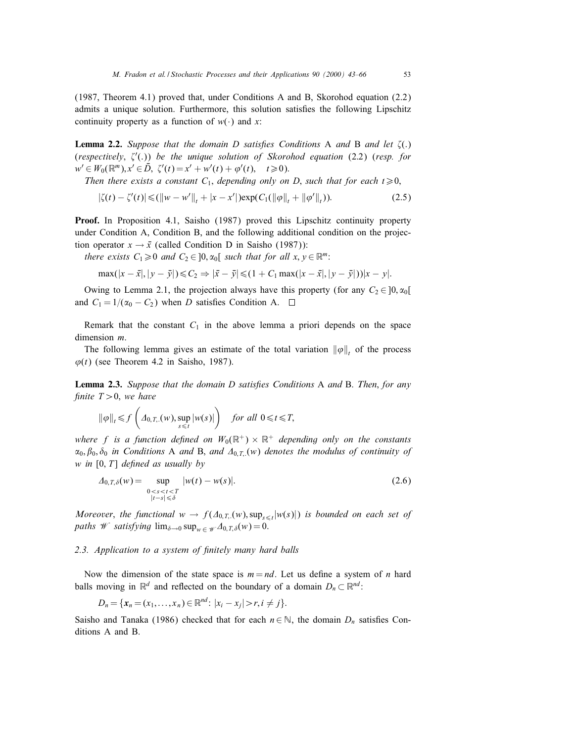(1987, Theorem 4:1) proved that, under Conditions A and B, Skorohod equation (2.2) admits a unique solution. Furthermore, this solution satisfies the following Lipschitz continuity property as a function of  $w(\cdot)$  and x:

**Lemma 2.2.** Suppose that the domain D satisfies Conditions A and B and let  $\zeta(.)$ (respectively,  $\zeta'(.)$ ) be the unique solution of Skorohod equation (2.2) (resp. for  $w' \in W_0(\mathbb{R}^m), x' \in \bar{D}, \ \zeta'(t) = x' + w'(t) + \varphi'(t), \quad t \geq 0.$ 

Then there exists a constant  $C_1$ , depending only on D, such that for each  $t \ge 0$ ,

$$
|\zeta(t) - \zeta'(t)| \leq (||w - w'||_t + |x - x'||) \exp(C_1(||\varphi||_t + ||\varphi'||_t)).
$$
\n(2.5)

**Proof.** In Proposition 4.1, Saisho (1987) proved this Lipschitz continuity property under Condition A, Condition B, and the following additional condition on the projection operator  $x \to \bar{x}$  (called Condition D in Saisho (1987)):

there exists  $C_1 \geq 0$  and  $C_2 \in ]0, \alpha_0[$  such that for all  $x, y \in \mathbb{R}^m$ :

$$
\max(|x - \bar{x}|, |y - \bar{y}|) \leq C_2 \Rightarrow |\bar{x} - \bar{y}| \leq (1 + C_1 \max(|x - \bar{x}|, |y - \bar{y}|))|x - y|.
$$

Owing to Lemma 2.1, the projection always have this property (for any  $C_2 \in [0, \alpha_0[$ and  $C_1 = 1/(\alpha_0 - C_2)$  when D satisfies Condition A.  $\square$ 

Remark that the constant  $C_1$  in the above lemma a priori depends on the space dimension m.

The following lemma gives an estimate of the total variation  $\|\varphi\|$ , of the process  $\varphi(t)$  (see Theorem 4.2 in Saisho, 1987).

**Lemma 2.3.** Suppose that the domain D satisfies Conditions A and B. Then, for any finite  $T>0$ , we have

$$
\|\varphi\|_{t} \leq f\left(\varDelta_{0,T,\cdot}(w), \sup_{s\leq t} |w(s)|\right) \quad \text{for all } 0 \leq t \leq T,
$$

where f is a function defined on  $W_0(\mathbb{R}^+) \times \mathbb{R}^+$  depending only on the constants  $\alpha_0, \beta_0, \delta_0$  in Conditions A and B, and  $\Delta_{0,T}(\mathbf{w})$  denotes the modulus of continuity of  $w$  in [0, T] defined as usually by

$$
\Delta_{0,T,\delta}(w) = \sup_{\substack{0 < s < t < T \\ |t-s| &\leq \delta}} |w(t) - w(s)|. \tag{2.6}
$$

Moreover, the functional  $w \to f(\Delta_{0,T}(w), \sup_{s\leq t}|w(s)|)$  is bounded on each set of paths W satisfying  $\lim_{\delta \to 0} \sup_{w \in \mathcal{W}} \Delta_{0,T,\delta}(w) = 0.$ 

#### 2.3. Application to a system of finitely many hard balls

Now the dimension of the state space is  $m = nd$ . Let us define a system of n hard balls moving in  $\mathbb{R}^d$  and reflected on the boundary of a domain  $D_n \subset \mathbb{R}^{nd}$ :

$$
D_n = \{x_n = (x_1, \ldots, x_n) \in \mathbb{R}^{nd} : |x_i - x_j| > r, i \neq j\}.
$$

Saisho and Tanaka (1986) checked that for each  $n \in \mathbb{N}$ , the domain  $D_n$  satisfies Conditions A and B.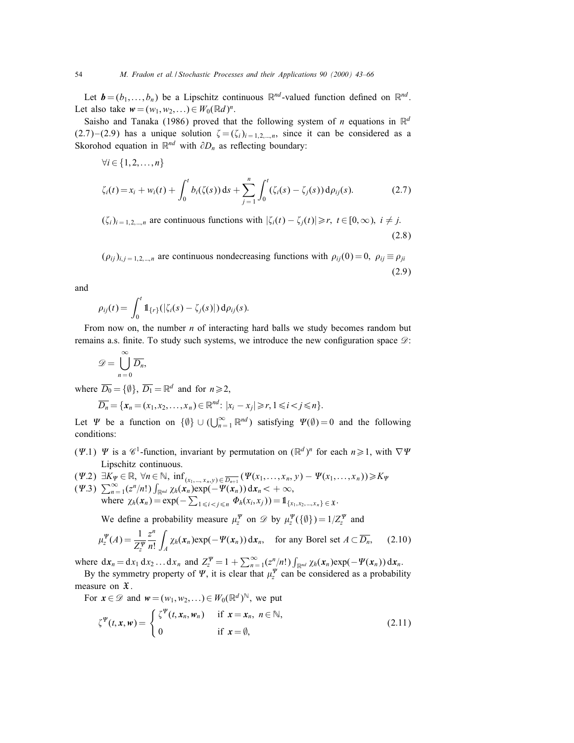Let  $\mathbf{b} = (b_1, \ldots, b_n)$  be a Lipschitz continuous  $\mathbb{R}^{nd}$ -valued function defined on  $\mathbb{R}^{nd}$ . Let also take  $w = (w_1, w_2,...) \in W_0(\mathbb{R}^d)^n$ .

Saisho and Tanaka (1986) proved that the following system of *n* equations in  $\mathbb{R}^d$  $(2.7)$  –  $(2.9)$  has a unique solution  $\zeta = (\zeta_i)_{i=1,2,\dots,n}$ , since it can be considered as a Skorohod equation in  $\mathbb{R}^{nd}$  with  $\partial D_n$  as reflecting boundary:

$$
\forall i \in \{1, 2, ..., n\}
$$
  

$$
\zeta_i(t) = x_i + w_i(t) + \int_0^t b_i(\zeta(s)) ds + \sum_{j=1}^n \int_0^t (\zeta_i(s) - \zeta_j(s)) d\rho_{ij}(s).
$$
 (2.7)

 $(\zeta_i)_{i=1,2,\dots,n}$  are continuous functions with  $|\zeta_i(t) - \zeta_j(t)| \ge r$ ,  $t \in [0,\infty)$ ,  $i \ne j$ . (2.8)

 $(\rho_{ij})_{i,j=1,2,\dots,n}$  are continuous nondecreasing functions with  $\rho_{ij}(0) = 0$ ,  $\rho_{ij} \equiv \rho_{ji}$ (2.9)

and

$$
\rho_{ij}(t) = \int_0^t \mathbb{1}_{\{r\}}(|\zeta_i(s) - \zeta_j(s)|) d\rho_{ij}(s).
$$

From now on, the number  $n$  of interacting hard balls we study becomes random but remains a.s. finite. To study such systems, we introduce the new configuration space  $\mathscr{D}$ :

$$
\mathscr{D}=\bigcup_{n=0}^{\infty}\overline{D_n},
$$

where  $\overline{D_0} = \{\emptyset\}$ ,  $\overline{D_1} = \mathbb{R}^d$  and for  $n \ge 2$ .

$$
\overline{D_n} = \{x_n = (x_1, x_2, \ldots, x_n) \in \mathbb{R}^{nd} : |x_i - x_j| \geq r, 1 \leq i < j \leq n\}.
$$

Let  $\Psi$  be a function on  $\{\emptyset\} \cup (\bigcup_{n=1}^{\infty} \mathbb{R}^{nd})$  satisfying  $\Psi(\emptyset) = 0$  and the following conditions:

- ( $\Psi$ .1)  $\Psi$  is a  $\mathscr{C}^1$ -function, invariant by permutation on  $(\mathbb{R}^d)^n$  for each  $n \ge 1$ , with  $\nabla \Psi$ Lipschitz continuous.
- $(\Psi.2) \exists K_{\Psi} \in \mathbb{R}, \forall n \in \mathbb{N}, \inf_{(x_1,...,x_n,y) \in \overline{D_{n+1}}} (\Psi(x_1,...,x_n,y) \Psi(x_1,...,x_n)) \geq K_{\Psi}$  $(\Psi.3)$   $\sum_{n=1}^{\infty} (z^n/n!) \int_{\mathbb{R}^{nd}} \chi_h(x_n) \exp(-\Psi(x_n)) dx_n < +\infty$ , where  $\chi_h(x_n) = \exp(-\sum_{1 \leq i < j \leq n} \Phi_h(x_i, x_j)) = \mathbb{1}_{\{x_1, x_2, \dots, x_n\} \in \mathfrak{X}}.$

We define a probability measure  $\mu_z^{\Psi}$  on  $\mathscr{D}$  by  $\mu_z^{\Psi}(\{\emptyset\}) = 1/Z_z^{\Psi}$  and

$$
\mu_z^{\Psi}(A) = \frac{1}{Z_z^{\Psi}} \frac{z^n}{n!} \int_A \chi_h(\mathbf{x}_n) \exp(-\Psi(\mathbf{x}_n)) \, \mathrm{d}\mathbf{x}_n, \quad \text{for any Borel set } A \subset \overline{D_n}, \tag{2.10}
$$

where  $dx_n = dx_1 dx_2 ... dx_n$  and  $Z_z^{\Psi} = 1 + \sum_{n=1}^{\infty} (z^n/n!) \int_{\mathbb{R}^{nd}} \chi_h(x_n) \exp(-\Psi(x_n)) dx_n$ .

By the symmetry property of  $\Psi$ , it is clear that  $\mu_z^{\Psi}$  can be considered as a probability measure on  $\mathfrak{X}$ .

For 
$$
\mathbf{x} \in \mathcal{D}
$$
 and  $\mathbf{w} = (w_1, w_2, \ldots) \in W_0(\mathbb{R}^d)^{\mathbb{N}}$ , we put  
\n
$$
\zeta^{\Psi}(t, \mathbf{x}, \mathbf{w}) = \begin{cases} \zeta^{\Psi}(t, \mathbf{x}_n, \mathbf{w}_n) & \text{if } \mathbf{x} = \mathbf{x}_n, n \in \mathbb{N}, \\ 0 & \text{if } \mathbf{x} = \emptyset, \end{cases}
$$
\n(2.11)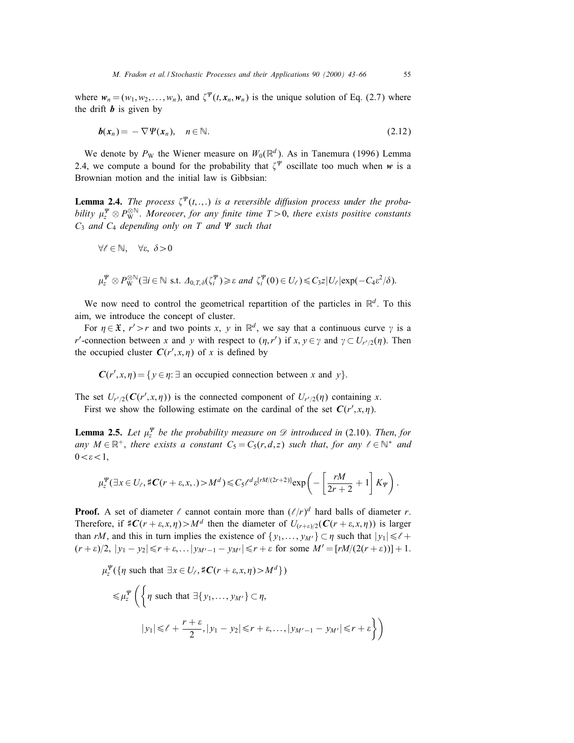where  $w_n = (w_1, w_2, \dots, w_n)$ , and  $\zeta^{\Psi}(t, x_n, w_n)$  is the unique solution of Eq. (2.7) where the drift  $\boldsymbol{b}$  is given by

$$
b(x_n) = -\nabla \Psi(x_n), \quad n \in \mathbb{N}.
$$
 (2.12)

We denote by  $P_W$  the Wiener measure on  $W_0(\mathbb{R}^d)$ . As in Tanemura (1996) Lemma 2.4, we compute a bound for the probability that  $\zeta^{\Psi}$  oscillate too much when w is a Brownian motion and the initial law is Gibbsian:

**Lemma 2.4.** The process  $\zeta^{\Psi}(t, \ldots)$  is a reversible diffusion process under the probability  $\mu_z^{\Psi}\otimes P^{\otimes \mathbb{N}}_{\rm W}$ . Moreover, for any finite time  $T\!>\!0,$  there exists positive constants  $C_3$  and  $C_4$  depending only on T and  $\Psi$  such that

$$
\forall \ell \in \mathbb{N}, \quad \forall \varepsilon, \ \delta > 0
$$

$$
\mu_{\mathcal{I}}^{\Psi} \otimes P_{\mathbf{W}}^{\otimes \mathbb{N}}(\exists i \in \mathbb{N} \text{ s.t. } \Delta_{0,T,\delta}(\zeta_i^{\Psi}) \geq \varepsilon \text{ and } \zeta_i^{\Psi}(0) \in U_{\ell}) \leq C_3 z |U_{\ell}| \exp(-C_4 \varepsilon^2/\delta).
$$

We now need to control the geometrical repartition of the particles in  $\mathbb{R}^d$ . To this aim, we introduce the concept of cluster.

For  $\eta \in \mathfrak{X}$ ,  $r' > r$  and two points x, y in  $\mathbb{R}^d$ , we say that a continuous curve  $\gamma$  is a *r'*-connection between x and y with respect to  $(\eta, r')$  if  $x, y \in \gamma$  and  $\gamma \subset U_{r'/2}(\eta)$ . Then the occupied cluster  $C(r', x, \eta)$  of x is defined by

 $C(r', x, \eta) = \{y \in \eta : \exists \text{ an occupied connection between } x \text{ and } y\}.$ 

The set  $U_{r'/2}(C(r',x,\eta))$  is the connected component of  $U_{r'/2}(\eta)$  containing x.

First we show the following estimate on the cardinal of the set  $C(r', x, \eta)$ .

**Lemma 2.5.** Let  $\mu_z^{\Psi}$  be the probability measure on  $\mathscr{D}$  introduced in (2.10). Then, for any  $M \in \mathbb{R}^+$ , there exists a constant  $C_5 = C_5(r, d, z)$  such that, for any  $\ell \in \mathbb{N}^*$  and  $0 < \varepsilon < 1$ ,

$$
\mu_z^{\Psi}(\exists x \in U_{\ell}, \sharp \mathbf{C}(r+\varepsilon, x, .) > M^d) \leqslant C_5 \ell^d \varepsilon^{[rM/(2r+2)]} \exp\left(-\left[\frac{rM}{2r+2} + 1\right] K_{\Psi}\right).
$$

**Proof.** A set of diameter  $\ell$  cannot contain more than  $(\ell/r)^d$  hard balls of diameter r. Therefore, if  $\#C(r + \varepsilon, x, \eta) > M^d$  then the diameter of  $U_{(r+\varepsilon)/2}(C(r + \varepsilon, x, \eta))$  is larger than rM, and this in turn implies the existence of  $\{y_1,\ldots,y_{M'}\}\subset \eta$  such that  $|y_1|\leq \ell+1$  $(r + \varepsilon)/2$ ,  $|y_1 - y_2| \le r + \varepsilon$ ,  $\ldots |y_{M'-1} - y_{M'}| \le r + \varepsilon$  for some  $M' = [rM/(2(r + \varepsilon))] + 1$ .

$$
\mu_z^{\Psi}(\{\eta \text{ such that } \exists x \in U_{\ell}, \sharp C(r + \varepsilon, x, \eta) > M^d \})
$$
  

$$
\leq \mu_z^{\Psi} \left( \left\{ \eta \text{ such that } \exists \{y_1, \dots, y_{M'}\} \subset \eta, \right\}
$$
  

$$
|y_1| \leq \ell + \frac{r + \varepsilon}{2}, |y_1 - y_2| \leq r + \varepsilon, \dots, |y_{M'-1} - y_{M'}| \leq r + \varepsilon \right\} \right)
$$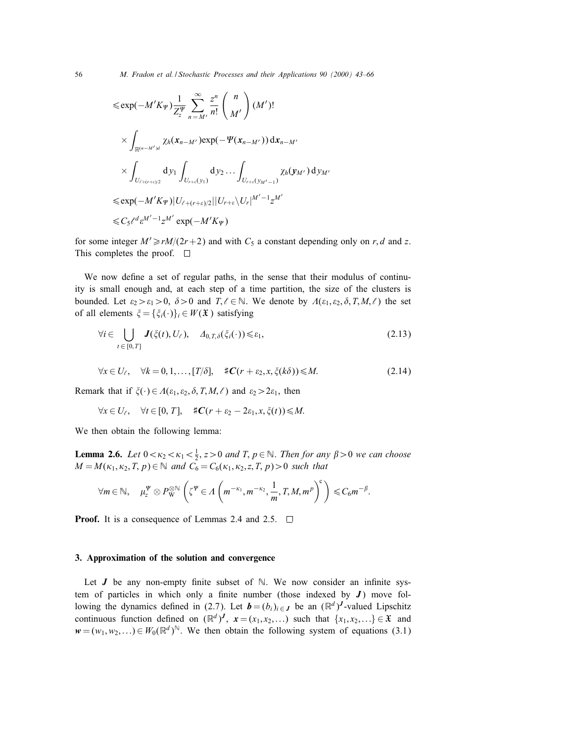$$
\leq \exp(-M'K_{\Psi}) \frac{1}{Z_{z}^{\Psi}} \sum_{n=M'}^{\infty} \frac{z^{n}}{n!} {n \choose M'} (M')! \times \int_{\mathbb{R}^{(n-M')d}} \chi_{h}(\mathbf{x}_{n-M'}) \exp(-\Psi(\mathbf{x}_{n-M'})) d\mathbf{x}_{n-M'} \times \int_{U_{\ell+(r+\epsilon)/2}} d\mathbf{y}_{1} \int_{U_{r+\epsilon}(\mathbf{y}_{1})} d\mathbf{y}_{2} ... \int_{U_{r+\epsilon}(\mathbf{y}_{M'-1})} \chi_{h}(\mathbf{y}_{M'}) d\mathbf{y}_{M'} \leq \exp(-M'K_{\Psi}) |U_{\ell+(r+\epsilon)/2}| |U_{r+\epsilon} \backslash U_{r}|^{M'-1} z^{M'} \leq C_{5} \ell^{d} \epsilon^{M'-1} z^{M'} \exp(-M'K_{\Psi})
$$

for some integer  $M' \ge rM/(2r+2)$  and with  $C_5$  a constant depending only on r, d and z. This completes the proof.  $\square$ 

We now define a set of regular paths, in the sense that their modulus of continuity is small enough and, at each step of a time partition, the size of the clusters is bounded. Let  $\varepsilon_2 > \varepsilon_1 > 0$ ,  $\delta > 0$  and  $T, \ell \in \mathbb{N}$ . We denote by  $A(\varepsilon_1, \varepsilon_2, \delta, T, M, \ell)$  the set of all elements  $\xi = {\xi_i(\cdot)}_i \in W(\mathfrak{X})$  satisfying

$$
\forall i \in \bigcup_{t \in [0,T]} J(\zeta(t), U_{\ell}), \quad \Delta_{0,T,\delta}(\zeta_i(\cdot)) \leq \varepsilon_1,
$$
\n(2.13)

$$
\forall x \in U_{\ell}, \quad \forall k = 0, 1, \dots, [T/\delta], \quad \sharp \mathbf{C}(r + \varepsilon_2, x, \xi(k\delta)) \leq M. \tag{2.14}
$$

Remark that if  $\xi(\cdot) \in A(\varepsilon_1, \varepsilon_2, \delta, T, M, \ell)$  and  $\varepsilon_2 > 2\varepsilon_1$ , then

$$
\forall x \in U_{\ell}, \quad \forall t \in [0, T], \quad \sharp \mathbf{C}(r + \varepsilon_2 - 2\varepsilon_1, x, \xi(t)) \leq M.
$$

We then obtain the following lemma:

**Lemma 2.6.** Let  $0 < \kappa_2 < \kappa_1 < \frac{1}{2}$ ,  $z > 0$  and T,  $p \in \mathbb{N}$ . Then for any  $\beta > 0$  we can choose  $M = M(\kappa_1, \kappa_2, T, p) \in \mathbb{N}$  and  $C_6 = C_6(\kappa_1, \kappa_2, Z, T, p) > 0$  such that

$$
\forall m \in \mathbb{N}, \quad \mu_z^{\Psi} \otimes P_{\mathbf{W}}^{\otimes \mathbb{N}} \left( \zeta^{\Psi} \in \Lambda \left( m^{-\kappa_1}, m^{-\kappa_2}, \frac{1}{m}, T, M, m^p \right)^c \right) \leq C_6 m^{-\beta}.
$$

**Proof.** It is a consequence of Lemmas 2.4 and 2.5.  $\Box$ 

# 3. Approximation of the solution and convergence

Let  $J$  be any non-empty finite subset of  $\mathbb N$ . We now consider an infinite system of particles in which only a finite number (those indexed by  $J$ ) move following the dynamics defined in (2.7). Let  $\mathbf{b} = (b_i)_{i \in J}$  be an  $(\mathbb{R}^d)^J$ -valued Lipschitz continuous function defined on  $(\mathbb{R}^d)^J$ ,  $x = (x_1, x_2,...)$  such that  $\{x_1, x_2,...\} \in \mathfrak{X}$  and  $w = (w_1, w_2,...) \in W_0(\mathbb{R}^d)^\mathbb{N}$ . We then obtain the following system of equations (3.1)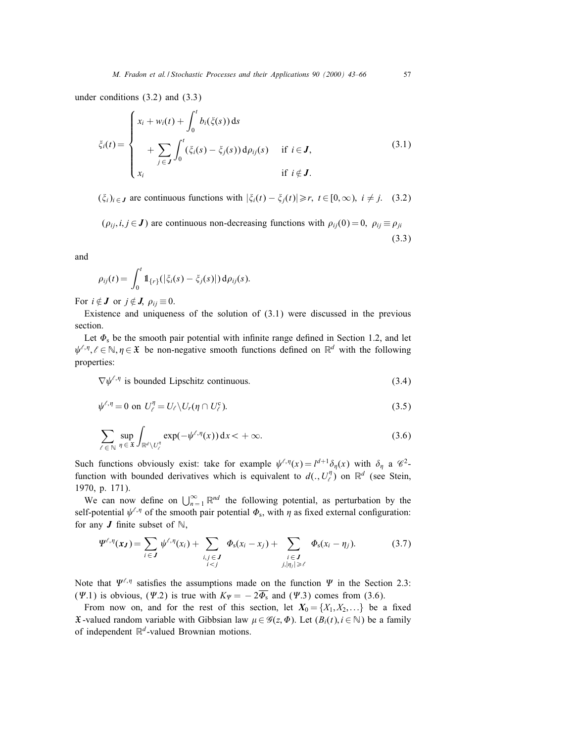under conditions (3.2) and (3.3)

$$
\xi_i(t) = \begin{cases}\n x_i + w_i(t) + \int_0^t b_i(\xi(s)) ds \\
 + \sum_{j \in J} \int_0^t (\xi_i(s) - \xi_j(s)) d\rho_{ij}(s) & \text{if } i \in J, \\
 x_i & \text{if } i \notin J.\n\end{cases}
$$
\n(3.1)

 $(\xi_i)_{i \in J}$  are continuous functions with  $|\xi_i(t) - \xi_i(t)| \ge r$ ,  $t \in [0, \infty)$ ,  $i \ne j$ . (3.2)

 $(\rho_{ij}, i, j \in J)$  are continuous non-decreasing functions with  $\rho_{ij}(0) = 0$ ,  $\rho_{ij} \equiv \rho_{ji}$ (3.3)

and

$$
\rho_{ij}(t) = \int_0^t \mathbb{1}_{\{r\}}(|\xi_i(s) - \xi_j(s)|) d\rho_{ij}(s).
$$

For  $i \notin J$  or  $j \notin J$ ,  $\rho_{ij} \equiv 0$ .

Existence and uniqueness of the solution of (3.1) were discussed in the previous section.

Let  $\Phi$ <sub>s</sub> be the smooth pair potential with infinite range defined in Section 1.2, and let  $\psi^{\ell,\eta}, \ell \in \mathbb{N}, \eta \in \mathfrak{X}$  be non-negative smooth functions defined on  $\mathbb{R}^d$  with the following properties:

 $\nabla \psi^{\ell,\eta}$  is bounded Lipschitz continuous. (3.4)

$$
\psi^{\ell,\eta} = 0 \text{ on } U_{\ell}^{\eta} = U_{\ell} \setminus U_r(\eta \cap U_{\ell}^c). \tag{3.5}
$$

$$
\sum_{\ell \in \mathbb{N}} \sup_{\eta \in \mathfrak{X}} \int_{\mathbb{R}^d \setminus U_{\ell}^{\eta}} \exp(-\psi^{\ell, \eta}(x)) \, dx < +\infty. \tag{3.6}
$$

Such functions obviously exist: take for example  $\psi^{\ell,\eta}(x) = l^{d+1}\delta_{\eta}(x)$  with  $\delta_{\eta}$  a  $\mathscr{C}^2$ function with bounded derivatives which is equivalent to  $d(., U_l^{\eta})$  on  $\mathbb{R}^d$  (see Stein, 1970, p. 171).

We can now define on  $\bigcup_{n=1}^{\infty} \mathbb{R}^{nd}$  the following potential, as perturbation by the self-potential  $\psi^{\ell,\eta}$  of the smooth pair potential  $\Phi_s$ , with  $\eta$  as fixed external configuration: for any  $J$  finite subset of  $\mathbb{N}$ ,

$$
\Psi^{\ell,\eta}(\mathbf{x}_J) = \sum_{i \in J} \psi^{\ell,\eta}(x_i) + \sum_{\substack{i,j \in J \\ i < j}} \Phi_s(x_i - x_j) + \sum_{\substack{i \in J \\ j, |\eta_j| \geq \ell}} \Phi_s(x_i - \eta_j). \tag{3.7}
$$

Note that  $\Psi^{\ell,\eta}$  satisfies the assumptions made on the function  $\Psi$  in the Section 2.3: ( $\Psi$ .1) is obvious, ( $\Psi$ .2) is true with  $K_{\Psi} = -2\overline{\Phi}_{s}$  and ( $\Psi$ .3) comes from (3.6).

From now on, and for the rest of this section, let  $X_0 = \{X_1, X_2,...\}$  be a fixed  $\mathfrak X$ -valued random variable with Gibbsian law  $\mu \in \mathscr G(z, \Phi)$ . Let  $(B_i(t), i \in \mathbb N)$  be a family of independent  $\mathbb{R}^d$ -valued Brownian motions.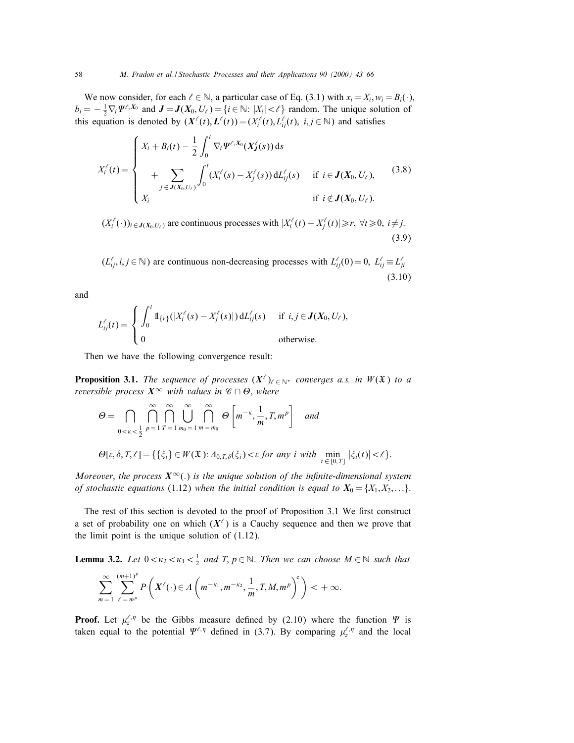We now consider, for each  $\ell \in \mathbb{N}$ , a particular case of Eq. (3.1) with  $x_i = X_i$ ,  $w_i = B_i(\cdot)$ ,  $b_i = -\frac{1}{2} \nabla_i \Psi^{\ell, X_0}$  and  $J = J(X_0, U_\ell) = \{i \in \mathbb{N} : |X_i| < \ell \}$  random. The unique solution of this equation is denoted by  $(X^{\ell}(t), L^{\ell}(t)) = (X_i^{\ell}(t), L^{\ell}(t), i, j \in \mathbb{N})$  and satisfies

$$
X_i^{\ell}(t) = \begin{cases} X_i + B_i(t) - \frac{1}{2} \int_0^t \nabla_i \Psi^{\ell, X_0}(X_j^{\ell}(s)) ds \\ + \sum_{j \in J(X_0, U_{\ell})} \int_0^t (X_i^{\ell}(s) - X_j^{\ell}(s)) dL_{ij}^{\ell}(s) & \text{if } i \in J(X_0, U_{\ell}), \\ X_i & \text{if } i \notin J(X_0, U_{\ell}). \end{cases}
$$
(3.8)

 $(X_i^{\ell}(\cdot))_{i \in J(X_0,U_{\ell})}$  are continuous processes with  $|X_i^{\ell}(t) - X_j^{\ell}(t)| \ge r, \forall t \ge 0, i \ne j$ . (3.9)

 $(L_{ij}^{\ell}, i, j \in \mathbb{N})$  are continuous non-decreasing processes with  $L_{ij}^{\ell}(0) = 0$ ,  $L_{ij}^{\ell} \equiv L_{ji}^{\ell}$ (3.10)

and

$$
L_{ij}^{\ell}(t) = \begin{cases} \int_0^t \mathbb{1}_{\{r\}}(|X_i^{\ell}(s) - X_j^{\ell}(s)|) dL_{ij}^{\ell}(s) & \text{if } i, j \in \mathbf{J}(X_0, U_{\ell}), \\ 0 & \text{otherwise.} \end{cases}
$$

Then we have the following convergence result:

**Proposition 3.1.** The sequence of processes  $(X^{\ell})_{\ell \in \mathbb{N}^*}$  converges a.s. in  $W(\mathfrak{X})$  to a reversible process  $X^{\infty}$  with values in  $\mathscr{C} \cap \Theta$ , where

$$
\Theta = \bigcap_{0 < \kappa < \frac{1}{2}} \bigcap_{p=1}^{\infty} \bigcap_{T=1}^{\infty} \bigcup_{m_0=1}^{\infty} \bigcap_{m=m_0}^{\infty} \Theta \left[ m^{-\kappa}, \frac{1}{m}, T, m^p \right] \quad \text{and}
$$
\n
$$
\Theta[\varepsilon, \delta, T, \ell] = \{ \{\xi_i\} \in W(\mathfrak{X}): \Delta_{0, T, \delta}(\xi_i) < \varepsilon \text{ for any } i \text{ with } \min_{t \in [0, T]} |\xi_i(t)| < \ell \}.
$$

Moreover, the process  $X^{\infty}(\cdot)$  is the unique solution of the infinite-dimensional system of stochastic equations (1.12) when the initial condition is equal to  $X_0 = \{X_1, X_2,...\}$ .

The rest of this section is devoted to the proof of Proposition 3.1 We first construct a set of probability one on which  $(X^{\ell})$  is a Cauchy sequence and then we prove that the limit point is the unique solution of (1.12).

**Lemma 3.2.** Let  $0 < \kappa_2 < \kappa_1 < \frac{1}{2}$  and T,  $p \in \mathbb{N}$ . Then we can choose  $M \in \mathbb{N}$  such that

$$
\sum_{m=1}^{\infty}\sum_{\ell=m^p}^{(m+1)^p}P\left(X^{\ell}(\cdot)\in\Lambda\left(m^{-\kappa_1},m^{-\kappa_2},\frac{1}{m},T,M,m^p\right)^c\right)<+\infty.
$$

**Proof.** Let  $\mu_z^{\ell,\eta}$  be the Gibbs measure defined by (2.10) where the function  $\Psi$  is taken equal to the potential  $\Psi^{\ell,\eta}$  defined in (3.7). By comparing  $\mu^{\ell,\eta}_z$  and the local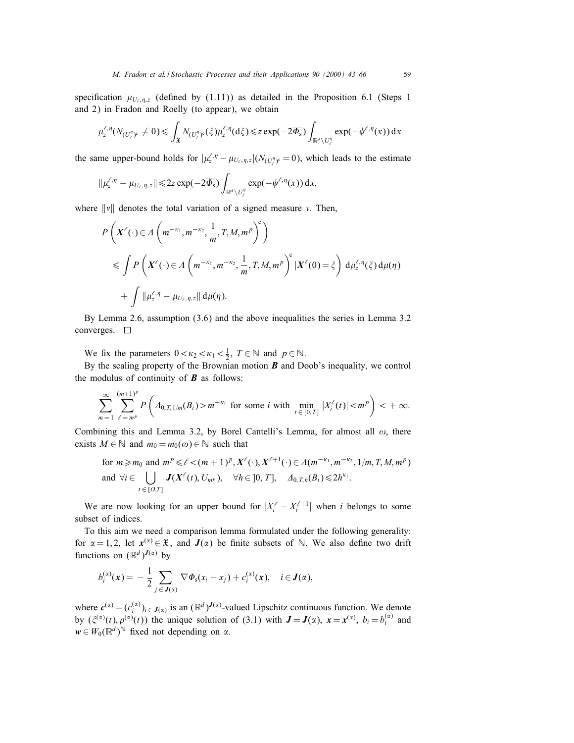specification  $\mu_{U_r,n,z}$  (defined by (1.11)) as detailed in the Proposition 6.1 (Steps 1 and 2) in Fradon and Roelly (to appear), we obtain

$$
\mu_z^{\ell,\eta}(N_{(U_\ell^{\eta})^c} \neq 0) \leq \int_{\mathfrak{X}} N_{(U_\ell^{\eta})^c}(\zeta) \mu_z^{\ell,\eta}(\mathrm{d}\zeta) \leq z \exp(-2\overline{\Phi_s}) \int_{\mathbb{R}^d \setminus U_\ell^{\eta}} \exp(-\psi^{\ell,\eta}(x)) \, \mathrm{d}x
$$

the same upper-bound holds for  $|\mu_z^{\ell,\eta} - \mu_{U_\ell,\eta,z}|(N_{(U_\ell^{\eta})^c} = 0)$ , which leads to the estimate

$$
\|\mu^{\ell,\eta}_z - \mu_{U_\ell,\eta,z}\| \leq 2z\exp(-2\overline{\Phi_s})\int_{\mathbb{R}^d\setminus U_\ell^\eta} \exp(-\psi^{\ell,\eta}(x))\,\mathrm{d} x,
$$

where  $\|v\|$  denotes the total variation of a signed measure v. Then,

$$
P\left(X^{\ell}(\cdot) \in \Lambda\left(m^{-\kappa_1}, m^{-\kappa_2}, \frac{1}{m}, T, M, m^p\right)^c\right)
$$
  
\$\leqslant \int P\left(X^{\ell}(\cdot) \in \Lambda\left(m^{-\kappa\_1}, m^{-\kappa\_2}, \frac{1}{m}, T, M, m^p\right)^c | X^{\ell}(0) = \xi\right) d\mu\_z^{\ell, \eta}(\xi) d\mu(\eta)\$  
\$+ \int ||\mu\_z^{\ell, \eta} - \mu\_{U\_\ell, \eta, z}|| d\mu(\eta).

By Lemma 2.6, assumption (3.6) and the above inequalities the series in Lemma 3.2 converges.  $\square$ 

We fix the parameters  $0 < \kappa_2 < \kappa_1 < \frac{1}{2}$ ,  $T \in \mathbb{N}$  and  $p \in \mathbb{N}$ .

By the scaling property of the Brownian motion  $\bf{B}$  and Doob's inequality, we control the modulus of continuity of  $\boldsymbol{B}$  as follows:

$$
\sum_{m=1}^{\infty} \sum_{\ell=m^p}^{(m+1)^p} P\left(\Delta_{0,T,1/m}(B_i) > m^{-\kappa_1} \text{ for some } i \text{ with } \min_{t \in [0,T]} |X_i^{\ell}(t)| < m^p\right) < +\infty.
$$

Combining this and Lemma 3.2, by Borel Cantelli's Lemma, for almost all  $\omega$ , there exists  $M \in \mathbb{N}$  and  $m_0 = m_0(\omega) \in \mathbb{N}$  such that

for 
$$
m \ge m_0
$$
 and  $m^p \le l < (m+1)^p$ ,  $X^{\ell}(\cdot)$ ,  $X^{\ell+1}(\cdot) \in A(m^{-\kappa_1}, m^{-\kappa_2}, 1/m, T, M, m^p)$   
and  $\forall i \in \bigcup_{t \in [0,T]} J(X^{\ell}(t), U_{m^p})$ ,  $\forall h \in [0, T]$ ,  $\Delta_{0,T,h}(B_i) \le 2h^{\kappa_1}$ .

We are now looking for an upper bound for  $|X_i^{\ell} - X_i^{\ell+1}|$  when i belongs to some subset of indices.

To this aim we need a comparison lemma formulated under the following generality: for  $\alpha = 1, 2$ , let  $x^{(\alpha)} \in \mathfrak{X}$ , and  $J(\alpha)$  be finite subsets of N. We also define two drift functions on  $(\mathbb{R}^d)^{J(\alpha)}$  by

$$
b_i^{(\alpha)}(\mathbf{x}) = -\frac{1}{2} \sum_{j \in \mathbf{J}(\alpha)} \nabla \Phi_{\rm s}(x_i - x_j) + c_i^{(\alpha)}(\mathbf{x}), \quad i \in \mathbf{J}(\alpha),
$$

where  $c^{(\alpha)} = (c_i^{(\alpha)})_{i \in J(\alpha)}$  is an  $(\mathbb{R}^d)^{J(\alpha)}$ -valued Lipschitz continuous function. We denote by  $(\xi^{(\alpha)}(t), \rho^{(\alpha)}(t))$  the unique solution of (3.1) with  $J = J(\alpha)$ ,  $x = x^{(\alpha)}$ ,  $b_i = b_i^{(\alpha)}$  and  $w \in W_0(\mathbb{R}^d)^\mathbb{N}$  fixed not depending on  $\alpha$ .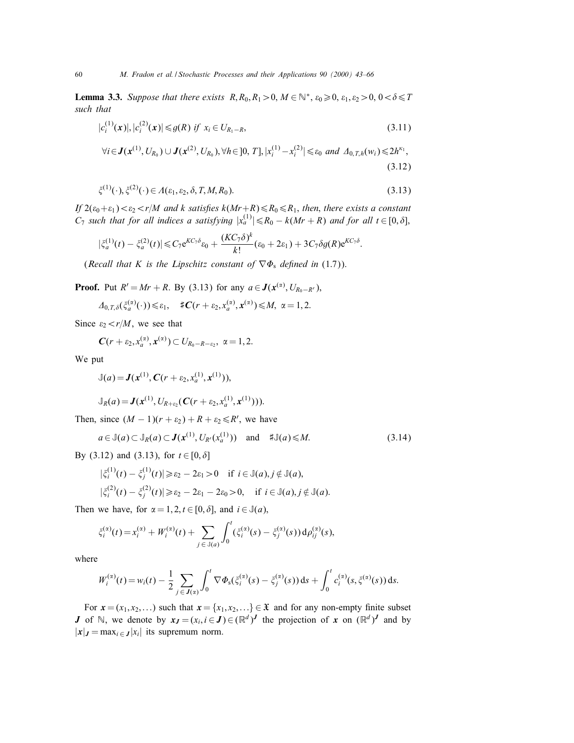**Lemma 3.3.** Suppose that there exists  $R, R_0, R_1 > 0, M \in \mathbb{N}^*, \varepsilon_0 \geq 0, \varepsilon_1, \varepsilon_2 > 0, 0 < \delta \leq T$ such that

$$
|c_i^{(1)}(\mathbf{x})|, |c_i^{(2)}(\mathbf{x})| \le g(R) \text{ if } x_i \in U_{R_1-R},
$$
\n
$$
\forall i \in \mathbf{J}(\mathbf{x}^{(1)}, U_{R_0}) \cup \mathbf{J}(\mathbf{x}^{(2)}, U_{R_0}), \forall h \in [0, T], |x_i^{(1)} - x_i^{(2)}| \le \varepsilon_0 \text{ and } \Delta_{0,T,h}(w_i) \le 2h^{\kappa_1},
$$
\n(3.12)

$$
\zeta^{(1)}(\cdot), \zeta^{(2)}(\cdot) \in A(\varepsilon_1, \varepsilon_2, \delta, T, M, R_0). \tag{3.13}
$$

If  $2(\epsilon_0+\epsilon_1) < \epsilon_2 < r/M$  and k satisfies  $k(Mr+R) \le R_0 \le R_1$ , then, there exists a constant  $C_7$  such that for all indices a satisfying  $|x_a^{(1)}| \le R_0 - k(Mr + R)$  and for all  $t \in [0, \delta]$ ,

$$
\left|\xi_a^{(1)}(t)-\xi_a^{(2)}(t)\right|\leq C_7 e^{KC_7\delta}\varepsilon_0+\frac{(KC_7\delta)^k}{k!}(\varepsilon_0+2\varepsilon_1)+3C_7\delta g(R)e^{KC_7\delta}.
$$

(Recall that K is the Lipschitz constant of  $\nabla \Phi_s$  defined in (1.7)).

**Proof.** Put  $R' = Mr + R$ . By (3.13) for any  $a \in J(x^{(\alpha)}, U_{R_0 - R'})$ ,

 $\Delta_{0,T,\delta}(\xi_a^{(\alpha)}(\cdot)) \leq \varepsilon_1, \quad \sharp \, \mathbf{C}(r+\varepsilon_2,x_a^{(\alpha)},\mathbf{x}^{(\alpha)}) \leq M, \; \alpha = 1,2.$ 

Since  $\varepsilon_2 < r/M$ , we see that

$$
\mathbf{C}(r+\varepsilon_2,x_a^{(\alpha)},x^{(\alpha)})\subset U_{R_0-R-\varepsilon_2},\,\,\alpha=1,2.
$$

We put

$$
\mathbb{J}(a) = \mathbf{J}(\mathbf{x}^{(1)}, \mathbf{C}(r + \varepsilon_2, x_a^{(1)}, \mathbf{x}^{(1)})),
$$

$$
\mathbb{J}_R(a) = \mathbf{J}(\mathbf{x}^{(1)}, U_{R+\varepsilon_2}(\mathbf{C}(r+\varepsilon_2, x_a^{(1)}, \mathbf{x}^{(1)}))).
$$

Then, since  $(M - 1)(r + \varepsilon_2) + R + \varepsilon_2 \le R'$ , we have

$$
a \in \mathbb{J}(a) \subset \mathbb{J}_R(a) \subset \mathbf{J}(\mathbf{x}^{(1)}, U_{R'}(\mathbf{x}_a^{(1)})) \quad \text{and} \quad \mathbf{f} \mathbb{J}(a) \leq M. \tag{3.14}
$$

By (3.12) and (3.13), for  $t \in [0, \delta]$ 

$$
\begin{aligned} |\xi_i^{(1)}(t) - \xi_j^{(1)}(t)| &\ge \varepsilon_2 - 2\varepsilon_1 > 0 \quad \text{if } i \in \mathbb{J}(a), j \notin \mathbb{J}(a), \\ |\xi_i^{(2)}(t) - \xi_j^{(2)}(t)| &\ge \varepsilon_2 - 2\varepsilon_1 - 2\varepsilon_0 > 0, \quad \text{if } i \in \mathbb{J}(a), j \notin \mathbb{J}(a). \end{aligned}
$$

Then we have, for  $\alpha = 1, 2, t \in [0, \delta]$ , and  $i \in \mathbb{J}(a)$ ,

$$
\xi_i^{(\alpha)}(t) = x_i^{(\alpha)} + W_i^{(\alpha)}(t) + \sum_{j \in \mathbb{J}(a)} \int_0^t (\xi_i^{(\alpha)}(s) - \xi_j^{(\alpha)}(s)) d\rho_{ij}^{(\alpha)}(s),
$$

where

$$
W_i^{(\alpha)}(t) = w_i(t) - \frac{1}{2} \sum_{j \in J(\alpha)} \int_0^t \nabla \Phi_s(\xi_i^{(\alpha)}(s) - \xi_j^{(\alpha)}(s)) \, ds + \int_0^t c_i^{(\alpha)}(s, \xi^{(\alpha)}(s)) \, ds.
$$

For  $x = (x_1, x_2,...)$  such that  $x = \{x_1, x_2,...\} \in \mathfrak{X}$  and for any non-empty finite subset **J** of N, we denote by  $x_J = (x_i, i \in J) \in (\mathbb{R}^d)^J$  the projection of x on  $(\mathbb{R}^d)^J$  and by  $|x|_J = \max_{i \in J} |x_i|$  its supremum norm.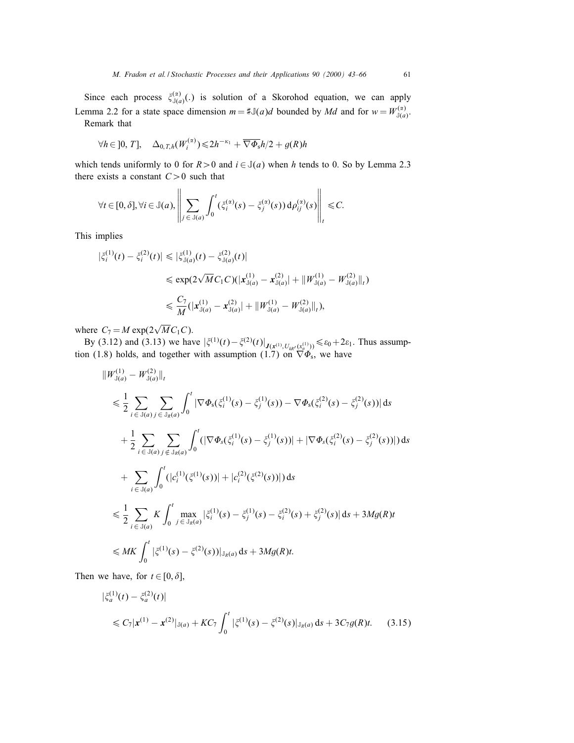Since each process  $\zeta_{J(a)}^{(\alpha)}(.)$  is solution of a Skorohod equation, we can apply Lemma 2.2 for a state space dimension  $m = #\mathbb{J}(a)d$  bounded by Md and for  $w = W_{\mathbb{J}(a)}^{(\alpha)}$ .

Remark that

$$
\forall h \in ]0, T], \quad \Delta_{0, T, h}(W_i^{(\alpha)}) \leq 2h^{-\kappa_1} + \overline{\nabla \Phi_{\rm s}}h/2 + g(R)h
$$

à.

which tends uniformly to 0 for  $R > 0$  and  $i \in J(a)$  when h tends to 0. So by Lemma 2.3 there exists a constant  $C>0$  such that

 $\overline{11}$ 

$$
\forall t \in [0, \delta], \forall i \in \mathbb{J}(a), \left\| \sum_{j \in \mathbb{J}(a)} \int_0^t (\xi_i^{(\alpha)}(s) - \xi_j^{(\alpha)}(s)) d\rho_{ij}^{(\alpha)}(s) \right\|_t \leq C.
$$

This implies

$$
\begin{split} |\xi_i^{(1)}(t) - \xi_i^{(2)}(t)| &\le |\xi_{\mathbb{J}(a)}^{(1)}(t) - \xi_{\mathbb{J}(a)}^{(2)}(t)| \\ &\le \exp(2\sqrt{M}C_1C)(|\mathbf{x}_{\mathbb{J}(a)}^{(1)} - \mathbf{x}_{\mathbb{J}(a)}^{(2)}| + \|W_{\mathbb{J}(a)}^{(1)} - W_{\mathbb{J}(a)}^{(2)}\|_t) \\ &\le \frac{C_7}{M} (|\mathbf{x}_{\mathbb{J}(a)}^{(1)} - \mathbf{x}_{\mathbb{J}(a)}^{(2)}| + \|W_{\mathbb{J}(a)}^{(1)} - W_{\mathbb{J}(a)}^{(2)}\|_t), \end{split}
$$

where  $C_7 = M \exp(2\sqrt{M}C_1C)$ .

By (3.12) and (3.13) we have  $|\xi^{(1)}(t) - \xi^{(2)}(t)|_{J(x^{(1)}, U_{kk'}(x^{(1)}_a))} \le \varepsilon_0 + 2\varepsilon_1$ . Thus assumption (1.8) holds, and together with assumption (1.7) on  $\nabla \Phi_s$ , we have

$$
\|W_{j(a)}^{(1)} - W_{j(a)}^{(2)}\|_{t}
$$
\n
$$
\leq \frac{1}{2} \sum_{i \in J(a)} \sum_{j \in J_R(a)} \int_0^t |\nabla \Phi_s(\xi_i^{(1)}(s) - \xi_j^{(1)}(s)) - \nabla \Phi_s(\xi_i^{(2)}(s) - \xi_j^{(2)}(s))| ds
$$
\n
$$
+ \frac{1}{2} \sum_{i \in J(a)} \sum_{j \notin J_R(a)} \int_0^t (|\nabla \Phi_s(\xi_i^{(1)}(s) - \xi_j^{(1)}(s))| + |\nabla \Phi_s(\xi_i^{(2)}(s) - \xi_j^{(2)}(s))|) ds
$$
\n
$$
+ \sum_{i \in J(a)} \int_0^t (|c_i^{(1)}(\xi^{(1)}(s))| + |c_i^{(2)}(\xi^{(2)}(s))|) ds
$$
\n
$$
\leq \frac{1}{2} \sum_{i \in J(a)} K \int_0^t \max_{j \in J_R(a)} |\xi_j^{(1)}(s) - \xi_j^{(1)}(s) - \xi_j^{(2)}(s) + \xi_j^{(2)}(s)| ds + 3Mg(R)t
$$
\n
$$
\leq MK \int_0^t |\xi^{(1)}(s) - \xi^{(2)}(s)|]_{\mathcal{J}_R(a)} ds + 3Mg(R)t.
$$

Then we have, for  $t \in [0, \delta]$ ,

$$
\begin{aligned} |\xi_a^{(1)}(t) - \xi_a^{(2)}(t)| \\ &\leq C_7 |x^{(1)} - x^{(2)}|_{\mathcal{J}(a)} + KC_7 \int_0^t |\xi^{(1)}(s) - \xi^{(2)}(s)|_{\mathcal{J}_R(a)} ds + 3C_7 g(R)t. \end{aligned} \tag{3.15}
$$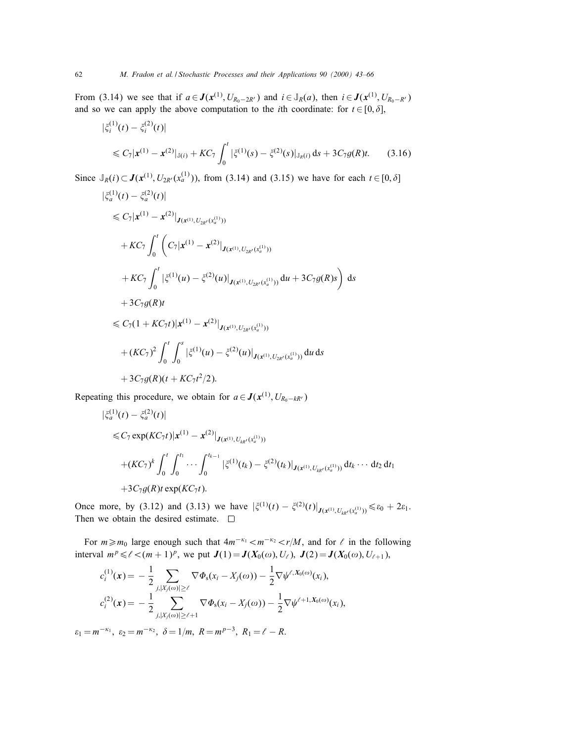From (3.14) we see that if  $a \in J(x^{(1)}, U_{R_0-2R'})$  and  $i \in J_R(a)$ , then  $i \in J(x^{(1)}, U_{R_0-R'})$ and so we can apply the above computation to the *i*th coordinate: for  $t \in [0, \delta]$ ,

$$
\begin{aligned} |\xi_i^{(1)}(t) - \xi_i^{(2)}(t)| \\ &\le C_7 |\mathbf{x}^{(1)} - \mathbf{x}^{(2)}|_{\mathbb{J}(i)} + KC_7 \int_0^t |\xi^{(1)}(s) - \xi^{(2)}(s)|_{\mathbb{J}_R(i)} \, \mathrm{d}s + 3C_7 g(R)t. \end{aligned} \tag{3.16}
$$

Since  $\mathbb{J}_R(i) \subset \mathbf{J}(\mathbf{x}^{(1)}, U_{2R'}(\mathbf{x}_a^{(1)}))$ , from (3.14) and (3.15) we have for each  $t \in [0, \delta]$ 

$$
\begin{split}\n|\xi_{a}^{(1)}(t) - \xi_{a}^{(2)}(t)| \\
&\leq C_{7}|\mathbf{x}^{(1)} - \mathbf{x}^{(2)}|_{J(\mathbf{x}^{(1)}, U_{2R'}(\mathbf{x}_{a}^{(1)}))} \\
&+ KC_{7} \int_{0}^{t} \left( C_{7}|\mathbf{x}^{(1)} - \mathbf{x}^{(2)}|_{J(\mathbf{x}^{(1)}, U_{2R'}(\mathbf{x}_{a}^{(1)}))}\right. \\
&\quad + KC_{7} \int_{0}^{t} |\xi^{(1)}(u) - \xi^{(2)}(u)|_{J(\mathbf{x}^{(1)}, U_{2R'}(\mathbf{x}_{a}^{(1)}))} du + 3C_{7}g(R)s \right) ds \\
&+ 3C_{7}g(R)t \\
&\leq C_{7}(1 + KC_{7}t)|\mathbf{x}^{(1)} - \mathbf{x}^{(2)}|_{J(\mathbf{x}^{(1)}, U_{2R'}(\mathbf{x}_{a}^{(1)}))} \\
&+ (KC_{7})^{2} \int_{0}^{t} \int_{0}^{s} |\xi^{(1)}(u) - \xi^{(2)}(u)|_{J(\mathbf{x}^{(1)}, U_{2R'}(\mathbf{x}_{a}^{(1)}))} du ds \\
&+ 3C_{7}g(R)(t + KC_{7}t^{2}/2).\n\end{split}
$$

Repeating this procedure, we obtain for  $a \in J(x^{(1)}, U_{R_0-kR'})$ 

$$
\begin{aligned} |\xi_a^{(1)}(t) - \xi_a^{(2)}(t)| \\ &\leq C_7 \exp(KC_7t) |\mathbf{x}^{(1)} - \mathbf{x}^{(2)}|_{J(\mathbf{x}^{(1)}, U_{kk'}(x_a^{(1)}))} \\ &+ (KC_7)^k \int_0^t \int_0^{t_1} \cdots \int_0^{t_{k-1}} |\xi^{(1)}(t_k) - \xi^{(2)}(t_k)|_{J(\mathbf{x}^{(1)}, U_{kk'}(x_a^{(1)}))} dt_k \cdots dt_2 dt_1 \\ &+ 3C_7 g(R) t \exp(KC_7 t). \end{aligned}
$$

Once more, by (3.12) and (3.13) we have  $|\xi^{(1)}(t) - \xi^{(2)}(t)|_{J(x^{(1)}, U_{kk'}(x_a^{(1)}))} \le \varepsilon_0 + 2\varepsilon_1$ . Then we obtain the desired estimate.  $\square$ 

For  $m \ge m_0$  large enough such that  $4m^{-\kappa_1} < m^{-\kappa_2} < r/M$ , and for  $\ell$  in the following interval  $m^p \le l < (m + 1)^p$ , we put  $J(1) = J(X_0(\omega), U_\ell)$ ,  $J(2) = J(X_0(\omega), U_{\ell+1})$ ,

$$
c_i^{(1)}(\mathbf{x}) = -\frac{1}{2} \sum_{j,|X_j(\omega)| \geq \ell} \nabla \Phi_{\mathbf{s}}(x_i - X_j(\omega)) - \frac{1}{2} \nabla \psi^{\ell,X_0(\omega)}(x_i),
$$
  

$$
c_i^{(2)}(\mathbf{x}) = -\frac{1}{2} \sum_{j,|X_j(\omega)| \geq \ell+1} \nabla \Phi_{\mathbf{s}}(x_i - X_j(\omega)) - \frac{1}{2} \nabla \psi^{\ell+1,X_0(\omega)}(x_i),
$$

 $\varepsilon_1 = m^{-\kappa_1}, \varepsilon_2 = m^{-\kappa_2}, \delta = 1/m, R = m^{p-3}, R_1 = \ell - R.$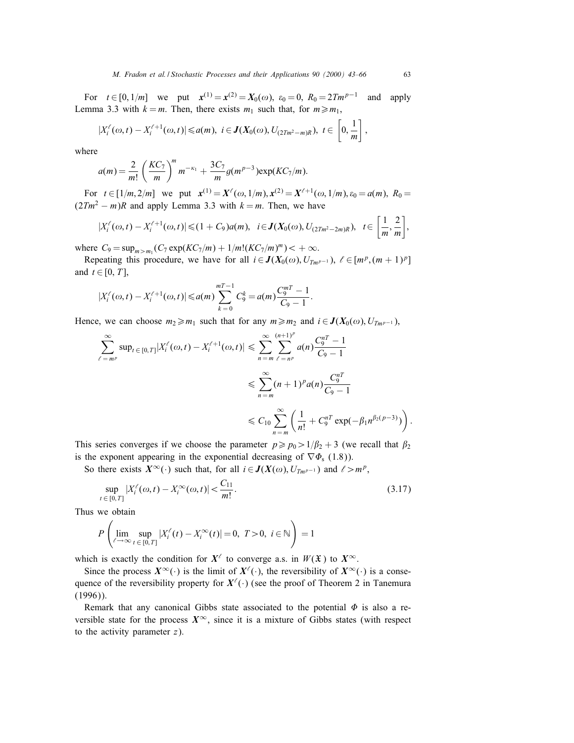For  $t \in [0, 1/m]$  we put  $\mathbf{x}^{(1)} = \mathbf{x}^{(2)} = X_0(\omega)$ ,  $\varepsilon_0 = 0$ ,  $R_0 = 2Tm^{p-1}$  and apply Lemma 3.3 with  $k = m$ . Then, there exists  $m_1$  such that, for  $m \ge m_1$ ,

$$
|X_i^{\ell}(\omega, t) - X_i^{\ell+1}(\omega, t)| \le a(m), \ i \in \mathbf{J}(X_0(\omega), U_{(2Tm^2 - m)R}), \ t \in \left[0, \frac{1}{m}\right],
$$

where

$$
a(m) = \frac{2}{m!} \left(\frac{KC_7}{m}\right)^m m^{-\kappa_1} + \frac{3C_7}{m} g(m^{p-3}) \exp(KC_7/m).
$$

For  $t \in [1/m, 2/m]$  we put  $\mathbf{x}^{(1)} = \mathbf{X}^{\ell}(\omega, 1/m), \mathbf{x}^{(2)} = \mathbf{X}^{\ell+1}(\omega, 1/m), \varepsilon_0 = a(m), R_0 = a(m)$  $(2Tm<sup>2</sup> - m)R$  and apply Lemma 3.3 with  $k = m$ . Then, we have

$$
|X_i^{\ell}(\omega, t) - X_i^{\ell+1}(\omega, t)| \leq (1 + C_9) a(m), \quad i \in \mathbf{J}(X_0(\omega), U_{(2Tm^2 - 2m)R}), \quad t \in \left[\frac{1}{m}, \frac{2}{m}\right],
$$

where  $C_9 = \sup_{m > m_1} (C_7 \exp(KC_7/m) + 1/m! (KC_7/m)^m) < +\infty$ .

Repeating this procedure, we have for all  $i \in J(X_0(\omega), U_{Tm^{p-1}}), \ell \in [m^p, (m+1)^p]$ and  $t \in [0, T]$ ,

$$
|X_i^{\ell}(\omega, t) - X_i^{\ell+1}(\omega, t)| \le a(m) \sum_{k=0}^{mT-1} C_9^k = a(m) \frac{C_9^{mT} - 1}{C_9 - 1}.
$$

Hence, we can choose  $m_2 \ge m_1$  such that for any  $m \ge m_2$  and  $i \in J(X_0(\omega), U_{Tm^{p-1}})$ ,

$$
\sum_{\ell=m^p}^{\infty} \sup_{t \in [0,T]} |X_i^{\ell}(\omega, t) - X_i^{\ell+1}(\omega, t)| \le \sum_{n=m}^{\infty} \sum_{\ell=n^p}^{(n+1)^p} a(n) \frac{C_9^{nT} - 1}{C_9 - 1}
$$
  

$$
\le \sum_{n=m}^{\infty} (n+1)^p a(n) \frac{C_9^{nT}}{C_9 - 1}
$$
  

$$
\le C_{10} \sum_{n=m}^{\infty} \left( \frac{1}{n!} + C_9^{nT} \exp(-\beta_1 n^{\beta_2 (p-3)}) \right).
$$

This series converges if we choose the parameter  $p \ge p_0 > 1/\beta_2 + 3$  (we recall that  $\beta_2$ ) is the exponent appearing in the exponential decreasing of  $\nabla \Phi$ <sub>s</sub> (1.8)).

So there exists  $X^{\infty}(\cdot)$  such that, for all  $i \in J(X(\omega), U_{Tm^{p-1}})$  and  $\ell > m^p$ ,

$$
\sup_{t \in [0,T]} |X_i^{\ell}(\omega, t) - X_i^{\infty}(\omega, t)| < \frac{C_{11}}{m!}.
$$
\n(3.17)

Thus we obtain

$$
P\left(\lim_{\ell \to \infty} \sup_{t \in [0, T]} |X_i^{\ell}(t) - X_i^{\infty}(t)| = 0, T > 0, i \in \mathbb{N}\right) = 1
$$

which is exactly the condition for  $X^{\ell}$  to converge a.s. in  $W(\mathfrak{X})$  to  $X^{\infty}$ .

Since the process  $X^{\infty}(\cdot)$  is the limit of  $X^{\ell}(\cdot)$ , the reversibility of  $X^{\infty}(\cdot)$  is a consequence of the reversibility property for  $X^{\ell}(\cdot)$  (see the proof of Theorem 2 in Tanemura (1996)).

Remark that any canonical Gibbs state associated to the potential  $\Phi$  is also a reversible state for the process  $X^{\infty}$ , since it is a mixture of Gibbs states (with respect to the activity parameter  $z$ ).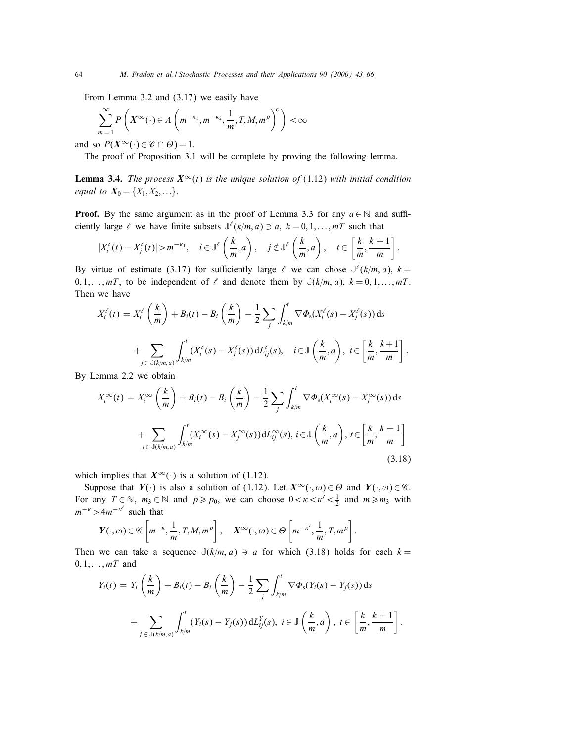From Lemma 3.2 and (3.17) we easily have

$$
\sum_{m=1}^{\infty} P\left(X^{\infty}(\cdot) \in \Lambda\left(m^{-\kappa_1}, m^{-\kappa_2}, \frac{1}{m}, T, M, m^p\right)^c\right) < \infty
$$

and so  $P(X^{\infty}(\cdot) \in \mathscr{C} \cap \Theta) = 1$ .

The proof of Proposition 3.1 will be complete by proving the following lemma.

**Lemma 3.4.** The process  $X^{\infty}(t)$  is the unique solution of (1.12) with initial condition equal to  $X_0 = \{X_1, X_2, ...\}$ .

**Proof.** By the same argument as in the proof of Lemma 3.3 for any  $a \in \mathbb{N}$  and sufficiently large  $\ell$  we have finite subsets  $\mathbb{J}(\ell(k/m, a) \ni a, k = 0, 1, \ldots, mT$  such that

$$
|X_i^{\ell}(t) - X_j^{\ell}(t)| > m^{-\kappa_1}, \quad i \in \mathbb{J}^{\ell}\left(\frac{k}{m}, a\right), \quad j \notin \mathbb{J}^{\ell}\left(\frac{k}{m}, a\right), \quad t \in \left[\frac{k}{m}, \frac{k+1}{m}\right].
$$

By virtue of estimate (3.17) for sufficiently large  $\ell$  we can chose  $\mathbb{J}(\ell(k/m, a), k =$  $0, 1, \ldots, mT$ , to be independent of  $\ell$  and denote them by  $\mathbb{J}(k/m, a), k = 0, 1, \ldots, mT$ . Then we have

$$
X_i^{\ell}(t) = X_i^{\ell}\left(\frac{k}{m}\right) + B_i(t) - B_i\left(\frac{k}{m}\right) - \frac{1}{2}\sum_j \int_{k/m}^t \nabla \Phi_s(X_i^{\ell}(s) - X_j^{\ell}(s)) ds
$$
  
+ 
$$
\sum_{j \in \mathbb{J}(k/m, a)} \int_{k/m}^t (X_i^{\ell}(s) - X_j^{\ell}(s)) dL_{ij}^{\ell}(s), \quad i \in \mathbb{J}\left(\frac{k}{m}, a\right), t \in \left[\frac{k}{m}, \frac{k+1}{m}\right].
$$

By Lemma 2.2 we obtain

$$
X_i^{\infty}(t) = X_i^{\infty}\left(\frac{k}{m}\right) + B_i(t) - B_i\left(\frac{k}{m}\right) - \frac{1}{2}\sum_j \int_{k/m}^t \nabla \Phi_s(X_i^{\infty}(s) - X_j^{\infty}(s)) ds
$$
  
+ 
$$
\sum_{j \in \mathbb{J}(k/m, a)} \int_{k/m}^t (X_i^{\infty}(s) - X_j^{\infty}(s)) dL_{ij}^{\infty}(s), i \in \mathbb{J}\left(\frac{k}{m}, a\right), t \in \left[\frac{k}{m}, \frac{k+1}{m}\right]
$$
(3.18)

which implies that  $X^{\infty}(\cdot)$  is a solution of (1.12).

Suppose that  $Y(\cdot)$  is also a solution of (1.12). Let  $X^{\infty}(\cdot,\omega) \in \Theta$  and  $Y(\cdot,\omega) \in \mathscr{C}$ . For any  $T \in \mathbb{N}$ ,  $m_3 \in \mathbb{N}$  and  $p \ge p_0$ , we can choose  $0 < \kappa < \kappa' < \frac{1}{2}$  and  $m \ge m_3$  with  $m^{-\kappa} > 4m^{-\kappa'}$  such that

$$
Y(\cdot,\omega)\in\mathscr{C}\left[m^{-\kappa},\frac{1}{m},T,M,m^p\right],\quad X^{\infty}(\cdot,\omega)\in\Theta\left[m^{-\kappa'},\frac{1}{m},T,m^p\right].
$$

Then we can take a sequence  $J(k/m, a) \ni a$  for which (3.18) holds for each  $k =$  $0, 1, \ldots, mT$  and

$$
Y_i(t) = Y_i\left(\frac{k}{m}\right) + B_i(t) - B_i\left(\frac{k}{m}\right) - \frac{1}{2}\sum_j \int_{k/m}^t \nabla \Phi_s(Y_i(s) - Y_j(s)) ds
$$
  
+ 
$$
\sum_{j \in \mathbb{J}(k/m, a)} \int_{k/m}^t (Y_i(s) - Y_j(s)) dL_{ij}^Y(s), \quad i \in \mathbb{J}\left(\frac{k}{m}, a\right), \quad t \in \left[\frac{k}{m}, \frac{k+1}{m}\right].
$$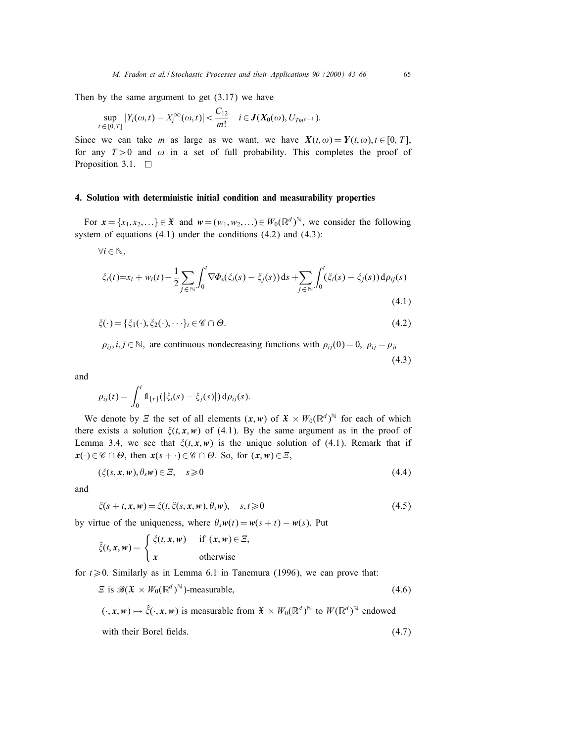Then by the same argument to get  $(3.17)$  we have

$$
\sup_{t \in [0,T]} |Y_i(\omega, t) - X_i^{\infty}(\omega, t)| < \frac{C_{12}}{m!} \quad i \in J(X_0(\omega), U_{Tm^{p-1}}).
$$

Since we can take m as large as we want, we have  $X(t, \omega) = Y(t, \omega), t \in [0, T]$ , for any  $T>0$  and  $\omega$  in a set of full probability. This completes the proof of Proposition 3.1.  $\square$ 

# 4. Solution with deterministic initial condition and measurability properties

For  $x = \{x_1, x_2,...\} \in \mathfrak{X}$  and  $w = (w_1, w_2,...) \in W_0(\mathbb{R}^d)^{\mathbb{N}}$ , we consider the following system of equations  $(4.1)$  under the conditions  $(4.2)$  and  $(4.3)$ :

 $\forall i \in \mathbb{N}$ ,

$$
\xi_i(t) = x_i + w_i(t) - \frac{1}{2} \sum_{j \in \mathbb{N}} \int_0^t \nabla \Phi_s(\xi_i(s) - \xi_j(s)) ds + \sum_{j \in \mathbb{N}} \int_0^t (\xi_i(s) - \xi_j(s)) d\rho_{ij}(s)
$$
\n(4.1)

$$
\xi(\cdot) = \{\xi_1(\cdot), \xi_2(\cdot), \cdots\}_i \in \mathscr{C} \cap \Theta. \tag{4.2}
$$

 $\rho_{ii}, i, j \in \mathbb{N}$ , are continuous nondecreasing functions with  $\rho_{ii}(0) = 0$ ,  $\rho_{ii} = \rho_{ii}$ (4.3)

and

$$
\rho_{ij}(t) = \int_0^t \mathbb{1}_{\{r\}}(|\xi_i(s) - \xi_j(s)|) d\rho_{ij}(s).
$$

We denote by  $E$  the set of all elements  $(x, w)$  of  $\mathfrak{X} \times W_0(\mathbb{R}^d)^{\mathbb{N}}$  for each of which there exists a solution  $\xi(t, x, w)$  of (4.1). By the same argument as in the proof of Lemma 3.4, we see that  $\xi(t, x, w)$  is the unique solution of (4.1). Remark that if  $x(\cdot) \in \mathscr{C} \cap \Theta$ , then  $x(s + \cdot) \in \mathscr{C} \cap \Theta$ . So, for  $(x, w) \in \Xi$ ,

$$
(\xi(s, x, w), \theta_s w) \in \Xi, \quad s \geq 0 \tag{4.4}
$$

and

$$
\xi(s+t, \mathbf{x}, \mathbf{w}) = \xi(t, \xi(s, \mathbf{x}, \mathbf{w}), \theta_s \mathbf{w}), \quad s, t \geq 0 \tag{4.5}
$$

by virtue of the uniqueness, where  $\theta_s w(t) = w(s + t) - w(s)$ . Put

$$
\hat{\xi}(t, x, w) = \begin{cases} \xi(t, x, w) & \text{if } (x, w) \in \Xi, \\ x & \text{otherwise} \end{cases}
$$

for  $t \ge 0$ . Similarly as in Lemma 6.1 in Tanemura (1996), we can prove that:

$$
\mathcal{E} \text{ is } \mathscr{B}(\mathfrak{X} \times W_0(\mathbb{R}^d)^{\mathbb{N}})\text{-measurable},\tag{4.6}
$$

 $(\cdot, x, w) \mapsto \hat{\xi}(\cdot, x, w)$  is measurable from  $\mathfrak{X} \times W_0(\mathbb{R}^d)^\mathbb{N}$  to  $W(\mathbb{R}^d)^\mathbb{N}$  endowed

with their Borel fields.

$$
(4.7)
$$